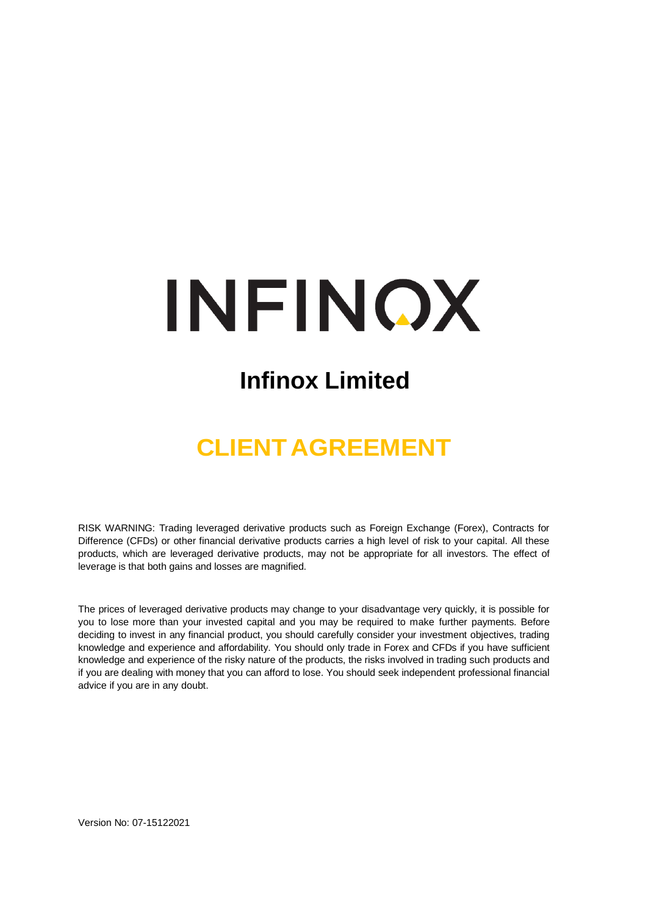# INFINOX

# **Infinox Limited**

# **CLIENT AGREEMENT**

RISK WARNING: Trading leveraged derivative products such as Foreign Exchange (Forex), Contracts for Difference (CFDs) or other financial derivative products carries a high level of risk to your capital. All these products, which are leveraged derivative products, may not be appropriate for all investors. The effect of leverage is that both gains and losses are magnified.

The prices of leveraged derivative products may change to your disadvantage very quickly, it is possible for you to lose more than your invested capital and you may be required to make further payments. Before deciding to invest in any financial product, you should carefully consider your investment objectives, trading knowledge and experience and affordability. You should only trade in Forex and CFDs if you have sufficient knowledge and experience of the risky nature of the products, the risks involved in trading such products and if you are dealing with money that you can afford to lose. You should seek independent professional financial advice if you are in any doubt.

Version No: 07-15122021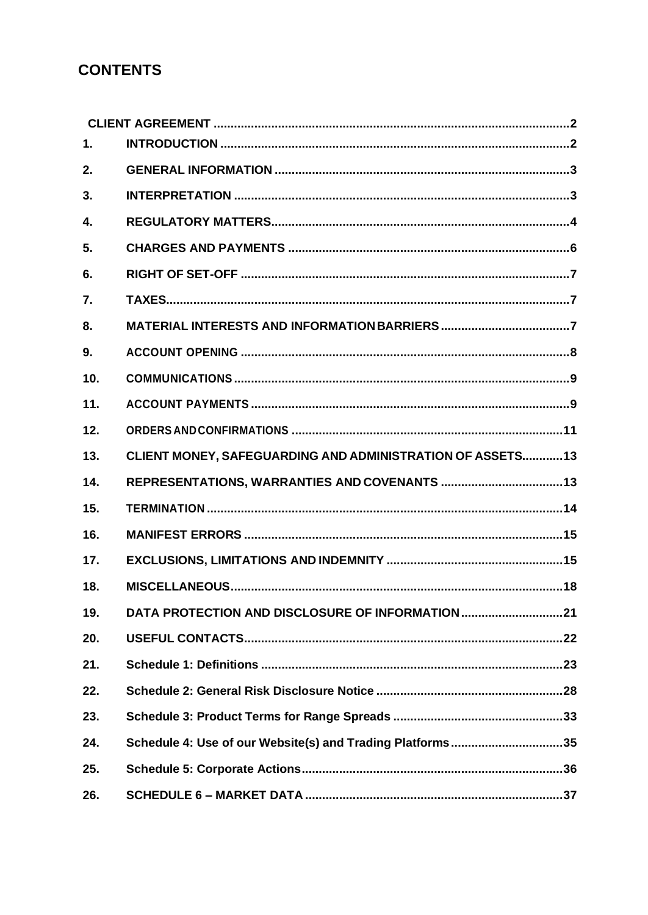# **CONTENTS**

| 1.  |                                                           |
|-----|-----------------------------------------------------------|
| 2.  |                                                           |
| 3.  |                                                           |
| 4.  |                                                           |
| 5.  |                                                           |
| 6.  |                                                           |
| 7.  |                                                           |
| 8.  |                                                           |
| 9.  |                                                           |
| 10. |                                                           |
| 11. |                                                           |
| 12. |                                                           |
| 13. | CLIENT MONEY, SAFEGUARDING AND ADMINISTRATION OF ASSETS13 |
| 14. |                                                           |
| 15. |                                                           |
| 16. |                                                           |
| 17. |                                                           |
| 18. |                                                           |
| 19. | DATA PROTECTION AND DISCLOSURE OF INFORMATION 21          |
| 20. |                                                           |
| 21. |                                                           |
| 22. |                                                           |
| 23. |                                                           |
| 24. | Schedule 4: Use of our Website(s) and Trading Platforms35 |
| 25. |                                                           |
| 26. |                                                           |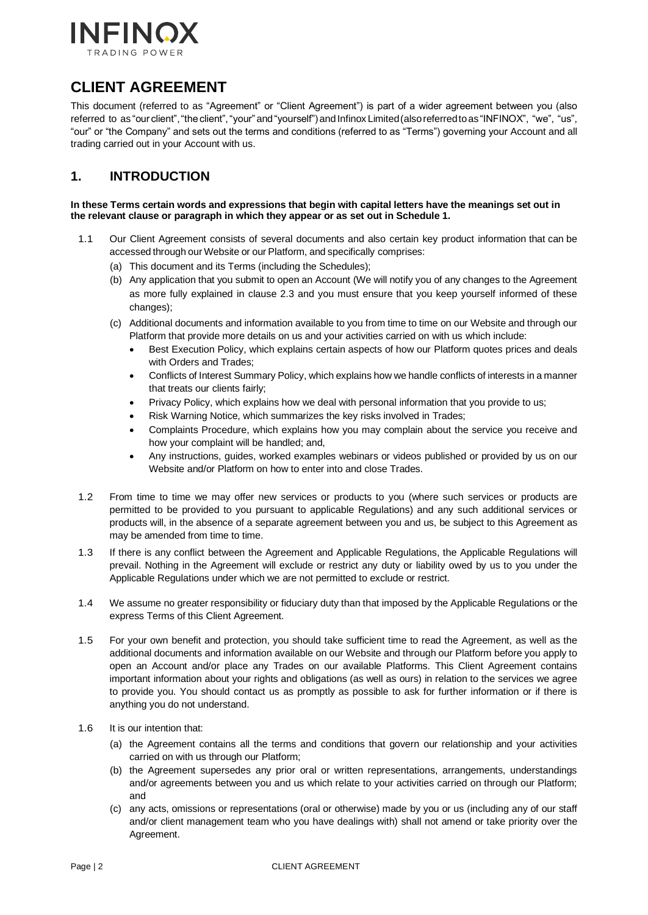

# <span id="page-2-0"></span>**CLIENT AGREEMENT**

This document (referred to as "Agreement" or "Client Agreement") is part of a wider agreement between you (also referred to as "our client", "the client", "your" and "yourself") and Infinox Limited (also referred to as "INFINOX", "we", "us", "our" or "the Company" and sets out the terms and conditions (referred to as "Terms") governing your Account and all trading carried out in your Account with us.

# <span id="page-2-1"></span>**1. INTRODUCTION**

#### **In these Terms certain words and expressions that begin with capital letters have the meanings set out in the relevant clause or paragraph in which they appear or as set out in Schedule 1.**

- 1.1 Our Client Agreement consists of several documents and also certain key product information that can be accessed through our Website or our Platform, and specifically comprises:
	- (a) This document and its Terms (including the Schedules);
	- (b) Any application that you submit to open an Account (We will notify you of any changes to the Agreement as more fully explained in clause 2.3 and you must ensure that you keep yourself informed of these changes);
	- (c) Additional documents and information available to you from time to time on our Website and through our Platform that provide more details on us and your activities carried on with us which include:
		- Best Execution Policy, which explains certain aspects of how our Platform quotes prices and deals with Orders and Trades;
		- Conflicts of Interest Summary Policy, which explains how we handle conflicts of interests in a manner that treats our clients fairly;
		- Privacy Policy, which explains how we deal with personal information that you provide to us;
		- Risk Warning Notice, which summarizes the key risks involved in Trades;
		- Complaints Procedure, which explains how you may complain about the service you receive and how your complaint will be handled; and,
		- Any instructions, guides, worked examples webinars or videos published or provided by us on our Website and/or Platform on how to enter into and close Trades.
- 1.2 From time to time we may offer new services or products to you (where such services or products are permitted to be provided to you pursuant to applicable Regulations) and any such additional services or products will, in the absence of a separate agreement between you and us, be subject to this Agreement as may be amended from time to time.
- 1.3 If there is any conflict between the Agreement and Applicable Regulations, the Applicable Regulations will prevail. Nothing in the Agreement will exclude or restrict any duty or liability owed by us to you under the Applicable Regulations under which we are not permitted to exclude or restrict.
- 1.4 We assume no greater responsibility or fiduciary duty than that imposed by the Applicable Regulations or the express Terms of this Client Agreement.
- 1.5 For your own benefit and protection, you should take sufficient time to read the Agreement, as well as the additional documents and information available on our Website and through our Platform before you apply to open an Account and/or place any Trades on our available Platforms. This Client Agreement contains important information about your rights and obligations (as well as ours) in relation to the services we agree to provide you. You should contact us as promptly as possible to ask for further information or if there is anything you do not understand.
- 1.6 It is our intention that:
	- (a) the Agreement contains all the terms and conditions that govern our relationship and your activities carried on with us through our Platform;
	- (b) the Agreement supersedes any prior oral or written representations, arrangements, understandings and/or agreements between you and us which relate to your activities carried on through our Platform; and
	- (c) any acts, omissions or representations (oral or otherwise) made by you or us (including any of our staff and/or client management team who you have dealings with) shall not amend or take priority over the Agreement.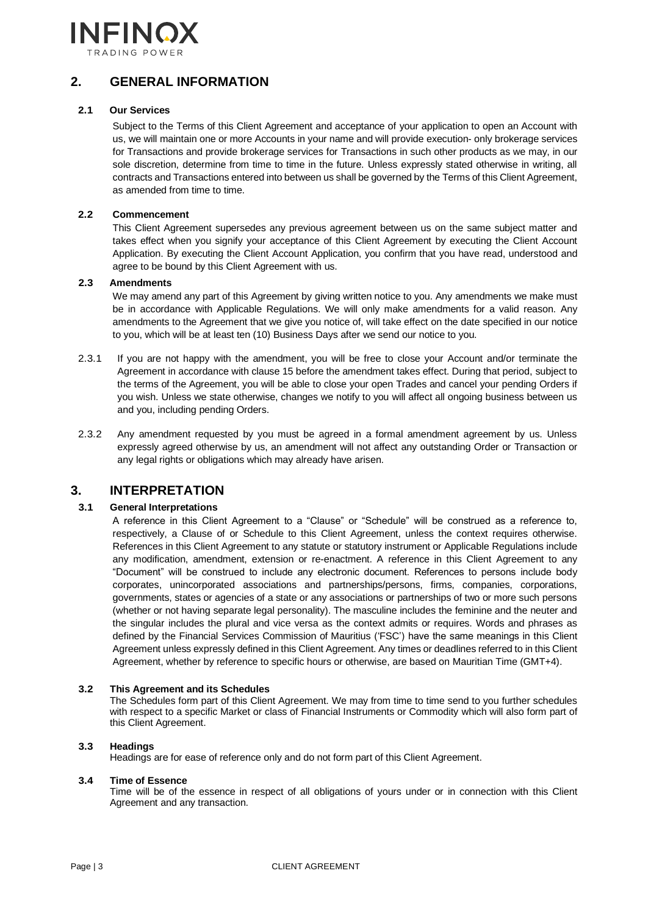

# <span id="page-3-0"></span>**2. GENERAL INFORMATION**

#### **2.1 Our Services**

Subject to the Terms of this Client Agreement and acceptance of your application to open an Account with us, we will maintain one or more Accounts in your name and will provide execution- only brokerage services for Transactions and provide brokerage services for Transactions in such other products as we may, in our sole discretion, determine from time to time in the future. Unless expressly stated otherwise in writing, all contracts and Transactions entered into between us shall be governed by the Terms of this Client Agreement, as amended from time to time.

#### **2.2 Commencement**

This Client Agreement supersedes any previous agreement between us on the same subject matter and takes effect when you signify your acceptance of this Client Agreement by executing the Client Account Application. By executing the Client Account Application, you confirm that you have read, understood and agree to be bound by this Client Agreement with us.

#### **2.3 Amendments**

We may amend any part of this Agreement by giving written notice to you. Any amendments we make must be in accordance with Applicable Regulations. We will only make amendments for a valid reason. Any amendments to the Agreement that we give you notice of, will take effect on the date specified in our notice to you, which will be at least ten (10) Business Days after we send our notice to you.

- 2.3.1 If you are not happy with the amendment, you will be free to close your Account and/or terminate the Agreement in accordance with clause 15 before the amendment takes effect. During that period, subject to the terms of the Agreement, you will be able to close your open Trades and cancel your pending Orders if you wish. Unless we state otherwise, changes we notify to you will affect all ongoing business between us and you, including pending Orders.
- 2.3.2 Any amendment requested by you must be agreed in a formal amendment agreement by us. Unless expressly agreed otherwise by us, an amendment will not affect any outstanding Order or Transaction or any legal rights or obligations which may already have arisen.

# <span id="page-3-1"></span>**3. INTERPRETATION**

#### **3.1 General Interpretations**

A reference in this Client Agreement to a "Clause" or "Schedule" will be construed as a reference to, respectively, a Clause of or Schedule to this Client Agreement, unless the context requires otherwise. References in this Client Agreement to any statute or statutory instrument or Applicable Regulations include any modification, amendment, extension or re-enactment. A reference in this Client Agreement to any "Document" will be construed to include any electronic document. References to persons include body corporates, unincorporated associations and partnerships/persons, firms, companies, corporations, governments, states or agencies of a state or any associations or partnerships of two or more such persons (whether or not having separate legal personality). The masculine includes the feminine and the neuter and the singular includes the plural and vice versa as the context admits or requires. Words and phrases as defined by the Financial Services Commission of Mauritius ('FSC') have the same meanings in this Client Agreement unless expressly defined in this Client Agreement. Any times or deadlines referred to in this Client Agreement, whether by reference to specific hours or otherwise, are based on Mauritian Time (GMT+4).

#### **3.2 This Agreement and its Schedules**

The Schedules form part of this Client Agreement. We may from time to time send to you further schedules with respect to a specific Market or class of Financial Instruments or Commodity which will also form part of this Client Agreement.

#### **3.3 Headings**

Headings are for ease of reference only and do not form part of this Client Agreement.

#### **3.4 Time of Essence**

Time will be of the essence in respect of all obligations of yours under or in connection with this Client Agreement and any transaction.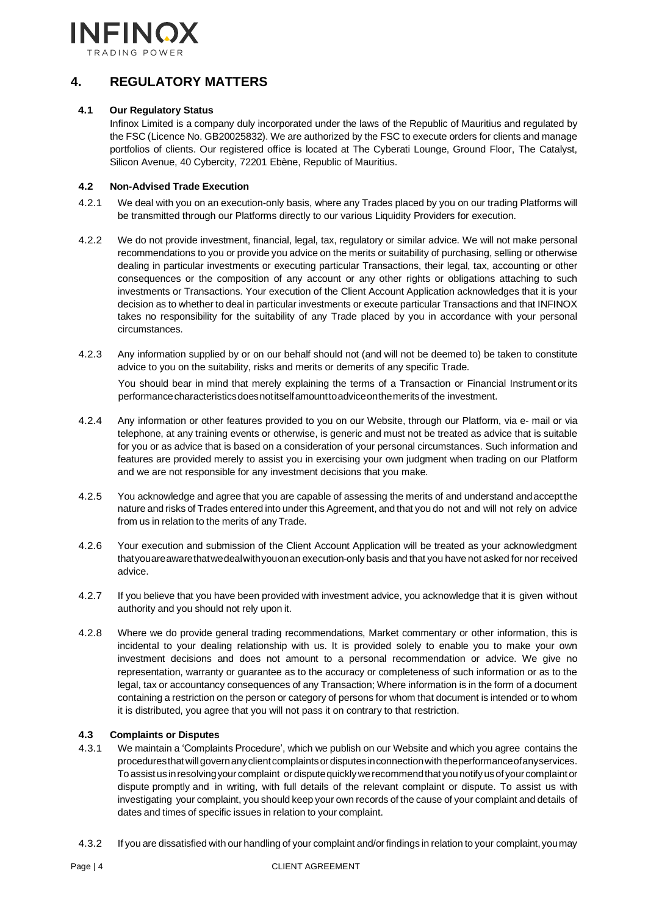

# <span id="page-4-0"></span>**4. REGULATORY MATTERS**

#### **4.1 Our Regulatory Status**

Infinox Limited is a company duly incorporated under the laws of the Republic of Mauritius and regulated by the FSC (Licence No. GB20025832). We are authorized by the FSC to execute orders for clients and manage portfolios of clients. Our registered office is located at The Cyberati Lounge, Ground Floor, The Catalyst, Silicon Avenue, 40 Cybercity, 72201 Ebène, Republic of Mauritius.

#### **4.2 Non-Advised Trade Execution**

- 4.2.1 We deal with you on an execution-only basis, where any Trades placed by you on our trading Platforms will be transmitted through our Platforms directly to our various Liquidity Providers for execution.
- 4.2.2 We do not provide investment, financial, legal, tax, regulatory or similar advice. We will not make personal recommendations to you or provide you advice on the merits or suitability of purchasing, selling or otherwise dealing in particular investments or executing particular Transactions, their legal, tax, accounting or other consequences or the composition of any account or any other rights or obligations attaching to such investments or Transactions. Your execution of the Client Account Application acknowledges that it is your decision as to whether to deal in particular investments or execute particular Transactions and that INFINOX takes no responsibility for the suitability of any Trade placed by you in accordance with your personal circumstances.
- 4.2.3 Any information supplied by or on our behalf should not (and will not be deemed to) be taken to constitute advice to you on the suitability, risks and merits or demerits of any specific Trade.

You should bear in mind that merely explaining the terms of a Transaction or Financial Instrument orits performancecharacteristicsdoesnotitselfamounttoadviceonthemeritsof the investment.

- 4.2.4 Any information or other features provided to you on our Website, through our Platform, via e- mail or via telephone, at any training events or otherwise, is generic and must not be treated as advice that is suitable for you or as advice that is based on a consideration of your personal circumstances. Such information and features are provided merely to assist you in exercising your own judgment when trading on our Platform and we are not responsible for any investment decisions that you make.
- 4.2.5 You acknowledge and agree that you are capable of assessing the merits of and understand andacceptthe nature and risks of Trades entered into under this Agreement, and that you do not and will not rely on advice from us in relation to the merits of any Trade.
- 4.2.6 Your execution and submission of the Client Account Application will be treated as your acknowledgment thatyouareawarethatwedealwithyouonan execution-only basis and that you have not asked for nor received advice.
- 4.2.7 If you believe that you have been provided with investment advice, you acknowledge that it is given without authority and you should not rely upon it.
- 4.2.8 Where we do provide general trading recommendations, Market commentary or other information, this is incidental to your dealing relationship with us. It is provided solely to enable you to make your own investment decisions and does not amount to a personal recommendation or advice. We give no representation, warranty or guarantee as to the accuracy or completeness of such information or as to the legal, tax or accountancy consequences of any Transaction; Where information is in the form of a document containing a restriction on the person or category of persons for whom that document is intended or to whom it is distributed, you agree that you will not pass it on contrary to that restriction.

#### **4.3 Complaints or Disputes**

- 4.3.1 We maintain a 'Complaints Procedure', which we publish on our Website and which you agree contains the proceduresthat willgovernanyclientcomplaintsor disputes inconnectionwith theperformanceofanyservices. Toassist us inresolvingyour complaint or disputequicklywerecommendthat younotifyusof your complaint or dispute promptly and in writing, with full details of the relevant complaint or dispute. To assist us with investigating your complaint, you should keep your own records of the cause of your complaint and details of dates and times of specific issues in relation to your complaint.
- 4.3.2 If you are dissatisfied with our handling of your complaint and/or findings in relation to your complaint,youmay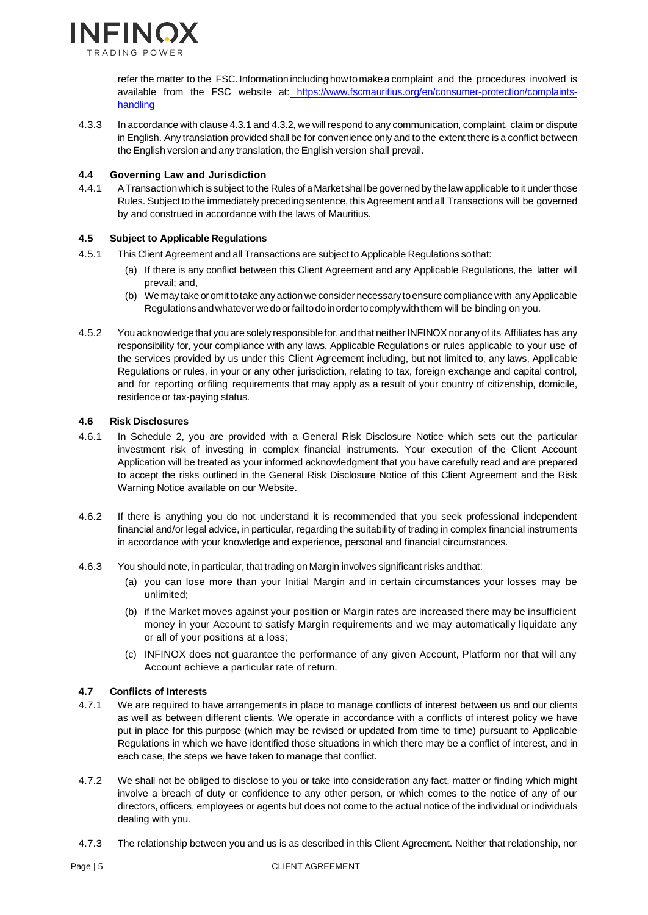

refer the matter to the FSC. Information including howtomakea complaint and the procedures involved is available from the FSC website at: [https://www.fscmauritius.org/en/consumer-protection/complaints](https://www.fscmauritius.org/en/consumer-protection/complaints-handling)[handling](https://www.fscmauritius.org/en/consumer-protection/complaints-handling)

4.3.3 In accordance with clause 4.3.1 and 4.3.2, we will respond to any communication, complaint, claim or dispute in English. Any translation provided shall be for convenience only and to the extent there is a conflict between the English version and any translation, the English version shall prevail.

#### **4.4 Governing Law and Jurisdiction**

4.4.1 ATransactionwhich is subject to the Rules of aMarket shall be governed by the law applicable to it underthose Rules. Subject to the immediately preceding sentence, this Agreement and all Transactions will be governed by and construed in accordance with the laws of Mauritius.

#### **4.5 Subject to Applicable Regulations**

- 4.5.1 This Client Agreement and all Transactions are subject to Applicable Regulations sothat:
	- (a) If there is any conflict between this Client Agreement and any Applicable Regulations, the latter will prevail; and,
	- (b) We may take or omit to take any action we consider necessary to ensure compliance with any Applicable Regulationsandwhatever wedoorfailtodoinordertocomplywiththem will be binding on you.
- 4.5.2 You acknowledge that you are solely responsiblefor, andthat neitherINFINOXnor any of its Affiliates has any responsibility for, your compliance with any laws, Applicable Regulations or rules applicable to your use of the services provided by us under this Client Agreement including, but not limited to, any laws, Applicable Regulations or rules, in your or any other jurisdiction, relating to tax, foreign exchange and capital control, and for reporting orfiling requirements that may apply as a result of your country of citizenship, domicile, residence or tax-paying status.

#### **4.6 Risk Disclosures**

- 4.6.1 In Schedule 2, you are provided with a General Risk Disclosure Notice which sets out the particular investment risk of investing in complex financial instruments. Your execution of the Client Account Application will be treated as your informed acknowledgment that you have carefully read and are prepared to accept the risks outlined in the General Risk Disclosure Notice of this Client Agreement and the Risk Warning Notice available on our Website.
- 4.6.2 If there is anything you do not understand it is recommended that you seek professional independent financial and/or legal advice, in particular, regarding the suitability of trading in complex financial instruments in accordance with your knowledge and experience, personal and financial circumstances.
- 4.6.3 You should note, in particular, that trading on Margin involves significant risks andthat:
	- (a) you can lose more than your Initial Margin and in certain circumstances your losses may be unlimited;
	- (b) if the Market moves against your position or Margin rates are increased there may be insufficient money in your Account to satisfy Margin requirements and we may automatically liquidate any or all of your positions at a loss;
	- (c) INFINOX does not guarantee the performance of any given Account, Platform nor that will any Account achieve a particular rate of return.

#### **4.7 Conflicts of Interests**

- 4.7.1 We are required to have arrangements in place to manage conflicts of interest between us and our clients as well as between different clients. We operate in accordance with a conflicts of interest policy we have put in place for this purpose (which may be revised or updated from time to time) pursuant to Applicable Regulations in which we have identified those situations in which there may be a conflict of interest, and in each case, the steps we have taken to manage that conflict.
- 4.7.2 We shall not be obliged to disclose to you or take into consideration any fact, matter or finding which might involve a breach of duty or confidence to any other person, or which comes to the notice of any of our directors, officers, employees or agents but does not come to the actual notice of the individual or individuals dealing with you.
- 4.7.3 The relationship between you and us is as described in this Client Agreement. Neither that relationship, nor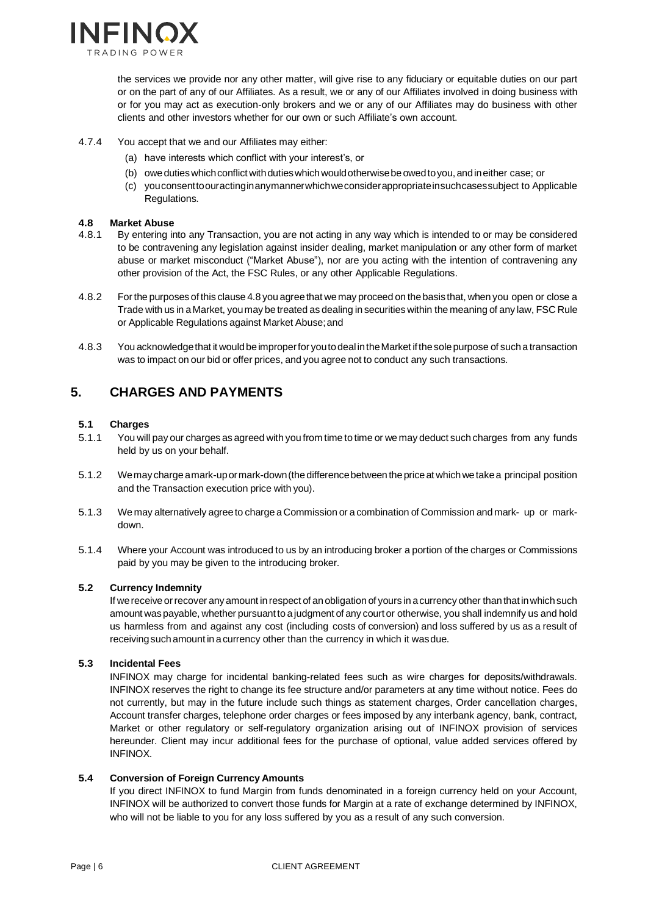

the services we provide nor any other matter, will give rise to any fiduciary or equitable duties on our part or on the part of any of our Affiliates. As a result, we or any of our Affiliates involved in doing business with or for you may act as execution-only brokers and we or any of our Affiliates may do business with other clients and other investors whether for our own or such Affiliate's own account.

- 4.7.4 You accept that we and our Affiliates may either:
	- (a) have interests which conflict with your interest's, or
	- (b) owe duties which conflict with duties which would otherwise be owed to you, and in either case; or
	- (c) youconsenttoouractinginanymannerwhichweconsiderappropriateinsuchcasessubject to Applicable Regulations.

# **4.8 Market Abuse**

- By entering into any Transaction, you are not acting in any way which is intended to or may be considered to be contravening any legislation against insider dealing, market manipulation or any other form of market abuse or market misconduct ("Market Abuse"), nor are you acting with the intention of contravening any other provision of the Act, the FSC Rules, or any other Applicable Regulations.
- 4.8.2 For the purposes of this clause 4.8 you agreethat wemay proceed on thebasis that, when you open or close a Trade with us in aMarket, youmay be treated as dealing in securities within the meaning of any law, FSC Rule or Applicable Regulations against Market Abuse;and
- 4.8.3 You acknowledgethat it wouldbeimproperfor youtodeal intheMarket ifthesolepurpose of sucha transaction was to impact on our bid or offer prices, and you agree not to conduct any such transactions.

# <span id="page-6-0"></span>**5. CHARGES AND PAYMENTS**

#### **5.1 Charges**

- 5.1.1 You will pay our charges as agreed with you from time to time or we may deduct such charges from any funds held by us on your behalf.
- 5.1.2 Wemay chargeamark-upormark-down(thedifferencebetween thepriceat whichwetakea principal position and the Transaction execution price with you).
- 5.1.3 We may alternatively agreeto charge a Commission or a combination of Commission and mark- up or markdown.
- 5.1.4 Where your Account was introduced to us by an introducing broker a portion of the charges or Commissions paid by you may be given to the introducing broker.

#### **5.2 Currency Indemnity**

If we receive or recover any amount in respect of an obligation of yours in a currency other than that in which such amount waspayable, whether pursuant to ajudgment of any court or otherwise, you shall indemnify us and hold us harmless from and against any cost (including costs of conversion) and loss suffered by us as a result of receivingsuchamount in acurrency other than the currency in which it wasdue.

#### **5.3 Incidental Fees**

INFINOX may charge for incidental banking-related fees such as wire charges for deposits/withdrawals. INFINOX reserves the right to change its fee structure and/or parameters at any time without notice. Fees do not currently, but may in the future include such things as statement charges, Order cancellation charges, Account transfer charges, telephone order charges or fees imposed by any interbank agency, bank, contract, Market or other regulatory or self-regulatory organization arising out of INFINOX provision of services hereunder. Client may incur additional fees for the purchase of optional, value added services offered by INFINOX.

#### **5.4 Conversion of Foreign Currency Amounts**

If you direct INFINOX to fund Margin from funds denominated in a foreign currency held on your Account, INFINOX will be authorized to convert those funds for Margin at a rate of exchange determined by INFINOX, who will not be liable to you for any loss suffered by you as a result of any such conversion.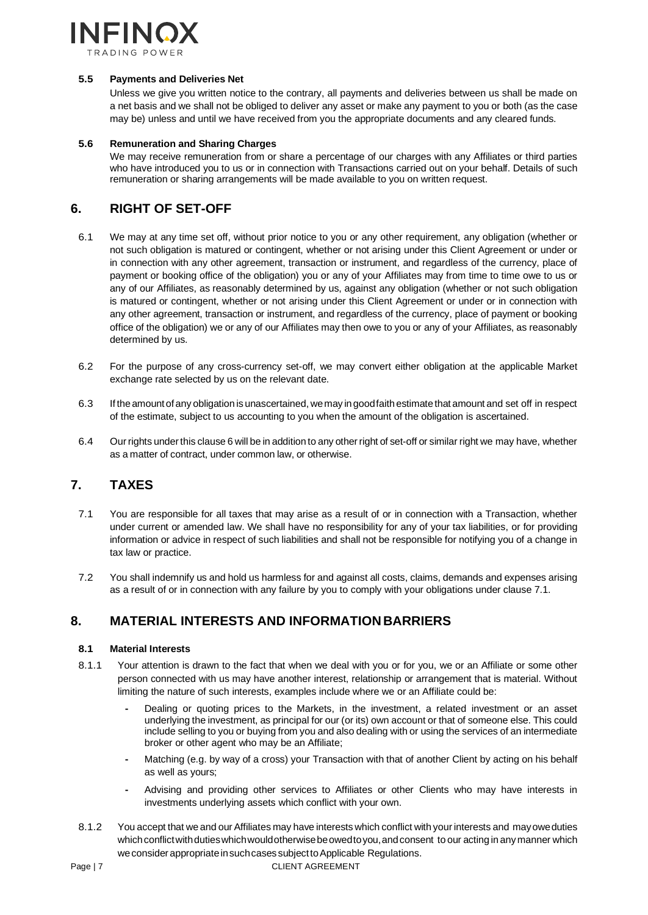

#### **5.5 Payments and Deliveries Net**

Unless we give you written notice to the contrary, all payments and deliveries between us shall be made on a net basis and we shall not be obliged to deliver any asset or make any payment to you or both (as the case may be) unless and until we have received from you the appropriate documents and any cleared funds.

#### **5.6 Remuneration and Sharing Charges**

We may receive remuneration from or share a percentage of our charges with any Affiliates or third parties who have introduced you to us or in connection with Transactions carried out on your behalf. Details of such remuneration or sharing arrangements will be made available to you on written request.

# <span id="page-7-0"></span>**6. RIGHT OF SET-OFF**

- 6.1 We may at any time set off, without prior notice to you or any other requirement, any obligation (whether or not such obligation is matured or contingent, whether or not arising under this Client Agreement or under or in connection with any other agreement, transaction or instrument, and regardless of the currency, place of payment or booking office of the obligation) you or any of your Affiliates may from time to time owe to us or any of our Affiliates, as reasonably determined by us, against any obligation (whether or not such obligation is matured or contingent, whether or not arising under this Client Agreement or under or in connection with any other agreement, transaction or instrument, and regardless of the currency, place of payment or booking office of the obligation) we or any of our Affiliates may then owe to you or any of your Affiliates, as reasonably determined by us.
- 6.2 For the purpose of any cross-currency set-off, we may convert either obligation at the applicable Market exchange rate selected by us on the relevant date.
- 6.3 If theamount of any obligation is unascertained, wemay ingoodfaithestimatethat amount and set off in respect of the estimate, subject to us accounting to you when the amount of the obligation is ascertained.
- 6.4 Our rights underthis clause 6 will be in addition to any other right of set-off or similar right we may have, whether as a matter of contract, under common law, or otherwise.

# <span id="page-7-1"></span>**7. TAXES**

- 7.1 You are responsible for all taxes that may arise as a result of or in connection with a Transaction, whether under current or amended law. We shall have no responsibility for any of your tax liabilities, or for providing information or advice in respect of such liabilities and shall not be responsible for notifying you of a change in tax law or practice.
- 7.2 You shall indemnify us and hold us harmless for and against all costs, claims, demands and expenses arising as a result of or in connection with any failure by you to comply with your obligations under clause 7.1.

# <span id="page-7-2"></span>**8. MATERIAL INTERESTS AND INFORMATIONBARRIERS**

#### **8.1 Material Interests**

- 8.1.1 Your attention is drawn to the fact that when we deal with you or for you, we or an Affiliate or some other person connected with us may have another interest, relationship or arrangement that is material. Without limiting the nature of such interests, examples include where we or an Affiliate could be:
	- Dealing or quoting prices to the Markets, in the investment, a related investment or an asset underlying the investment, as principal for our (or its) own account or that of someone else. This could include selling to you or buying from you and also dealing with or using the services of an intermediate broker or other agent who may be an Affiliate;
	- Matching (e.g. by way of a cross) your Transaction with that of another Client by acting on his behalf as well as yours;
	- Advising and providing other services to Affiliates or other Clients who may have interests in investments underlying assets which conflict with your own.
- 8.1.2 You accept that we and our Affiliates may have interests which conflict with your interests and mayoweduties which conflict with duties which would otherwise be owed to you, and consent to our acting in any manner which we consider appropriate in such cases subject to Applicable Regulations.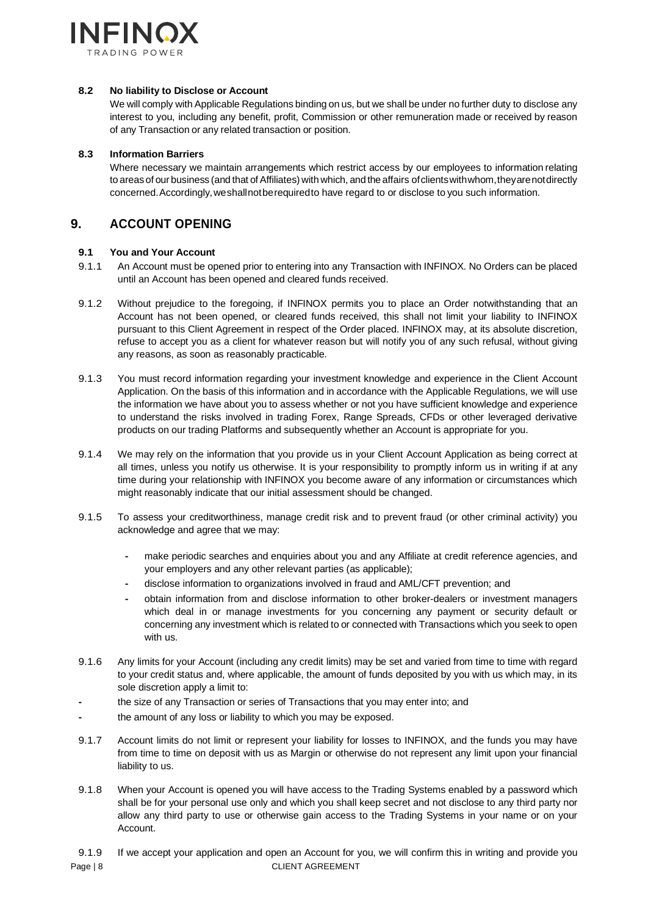

#### **8.2 No liability to Disclose or Account**

We will comply with Applicable Regulations binding on us, but we shall be under no further duty to disclose any interest to you, including any benefit, profit, Commission or other remuneration made or received by reason of any Transaction or any related transaction or position.

#### **8.3 Information Barriers**

Where necessary we maintain arrangements which restrict access by our employees to information relating to areas of our business (and that of Affiliates) with which, and the affairs of clients with whom, they arenot directly concerned.Accordingly,weshallnotberequiredto have regard to or disclose to you such information.

# <span id="page-8-0"></span>**9. ACCOUNT OPENING**

#### **9.1 You and Your Account**

- 9.1.1 An Account must be opened prior to entering into any Transaction with INFINOX. No Orders can be placed until an Account has been opened and cleared funds received.
- 9.1.2 Without prejudice to the foregoing, if INFINOX permits you to place an Order notwithstanding that an Account has not been opened, or cleared funds received, this shall not limit your liability to INFINOX pursuant to this Client Agreement in respect of the Order placed. INFINOX may, at its absolute discretion, refuse to accept you as a client for whatever reason but will notify you of any such refusal, without giving any reasons, as soon as reasonably practicable.
- 9.1.3 You must record information regarding your investment knowledge and experience in the Client Account Application. On the basis of this information and in accordance with the Applicable Regulations, we will use the information we have about you to assess whether or not you have sufficient knowledge and experience to understand the risks involved in trading Forex, Range Spreads, CFDs or other leveraged derivative products on our trading Platforms and subsequently whether an Account is appropriate for you.
- 9.1.4 We may rely on the information that you provide us in your Client Account Application as being correct at all times, unless you notify us otherwise. It is your responsibility to promptly inform us in writing if at any time during your relationship with INFINOX you become aware of any information or circumstances which might reasonably indicate that our initial assessment should be changed.
- 9.1.5 To assess your creditworthiness, manage credit risk and to prevent fraud (or other criminal activity) you acknowledge and agree that we may:
	- make periodic searches and enquiries about you and any Affiliate at credit reference agencies, and your employers and any other relevant parties (as applicable);
	- disclose information to organizations involved in fraud and AML/CFT prevention; and
	- obtain information from and disclose information to other broker-dealers or investment managers which deal in or manage investments for you concerning any payment or security default or concerning any investment which is related to or connected with Transactions which you seek to open with us.
- 9.1.6 Any limits for your Account (including any credit limits) may be set and varied from time to time with regard to your credit status and, where applicable, the amount of funds deposited by you with us which may, in its sole discretion apply a limit to:
- the size of any Transaction or series of Transactions that you may enter into; and
- the amount of any loss or liability to which you may be exposed.
- 9.1.7 Account limits do not limit or represent your liability for losses to INFINOX, and the funds you may have from time to time on deposit with us as Margin or otherwise do not represent any limit upon your financial liability to us.
- 9.1.8 When your Account is opened you will have access to the Trading Systems enabled by a password which shall be for your personal use only and which you shall keep secret and not disclose to any third party nor allow any third party to use or otherwise gain access to the Trading Systems in your name or on your Account.
- Page | 8 CLIENT AGREEMENT 9.1.9 If we accept your application and open an Account for you, we will confirm this in writing and provide you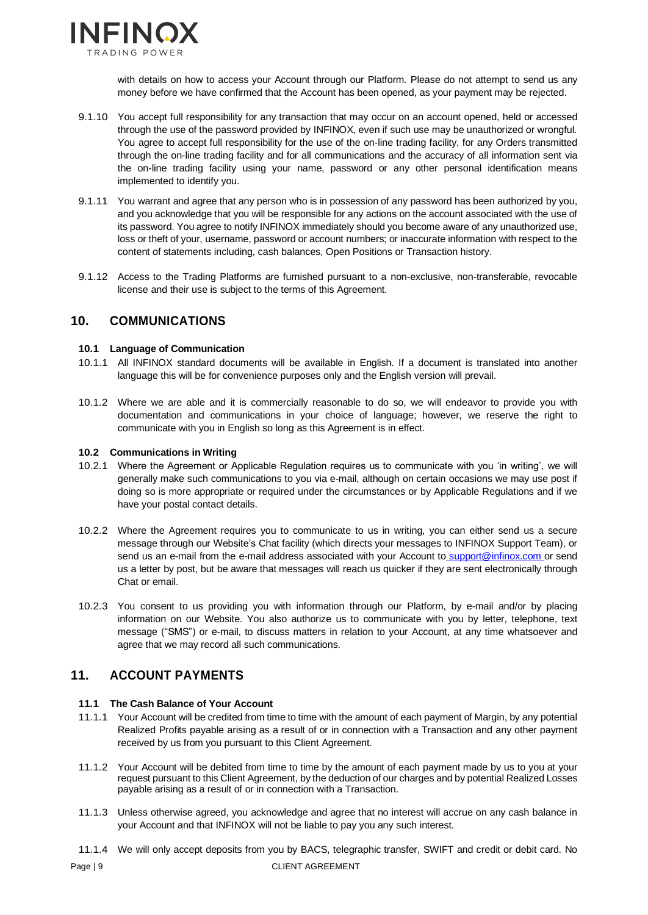

with details on how to access your Account through our Platform. Please do not attempt to send us any money before we have confirmed that the Account has been opened, as your payment may be rejected.

- 9.1.10 You accept full responsibility for any transaction that may occur on an account opened, held or accessed through the use of the password provided by INFINOX, even if such use may be unauthorized or wrongful. You agree to accept full responsibility for the use of the on-line trading facility, for any Orders transmitted through the on-line trading facility and for all communications and the accuracy of all information sent via the on-line trading facility using your name, password or any other personal identification means implemented to identify you.
- 9.1.11 You warrant and agree that any person who is in possession of any password has been authorized by you, and you acknowledge that you will be responsible for any actions on the account associated with the use of its password. You agree to notify INFINOX immediately should you become aware of any unauthorized use, loss or theft of your, username, password or account numbers; or inaccurate information with respect to the content of statements including, cash balances, Open Positions or Transaction history.
- 9.1.12 Access to the Trading Platforms are furnished pursuant to a non-exclusive, non-transferable, revocable license and their use is subject to the terms of this Agreement.

# <span id="page-9-0"></span>**10. COMMUNICATIONS**

#### **10.1 Language of Communication**

- 10.1.1 All INFINOX standard documents will be available in English. If a document is translated into another language this will be for convenience purposes only and the English version will prevail.
- 10.1.2 Where we are able and it is commercially reasonable to do so, we will endeavor to provide you with documentation and communications in your choice of language; however, we reserve the right to communicate with you in English so long as this Agreement is in effect.

#### **10.2 Communications in Writing**

- 10.2.1 Where the Agreement or Applicable Regulation requires us to communicate with you 'in writing', we will generally make such communications to you via e-mail, although on certain occasions we may use post if doing so is more appropriate or required under the circumstances or by Applicable Regulations and if we have your postal contact details.
- 10.2.2 Where the Agreement requires you to communicate to us in writing, you can either send us a secure message through our Website's Chat facility (which directs your messages to INFINOX Support Team), or send us an e-mail from the e-mail address associated with your Account to [support@infinox.com o](mailto:%20support@infinox.com)r send us a letter by post, but be aware that messages will reach us quicker if they are sent electronically through Chat or email.
- 10.2.3 You consent to us providing you with information through our Platform, by e-mail and/or by placing information on our Website. You also authorize us to communicate with you by letter, telephone, text message ("SMS") or e-mail, to discuss matters in relation to your Account, at any time whatsoever and agree that we may record all such communications.

# <span id="page-9-1"></span>**11. ACCOUNT PAYMENTS**

#### **11.1 The Cash Balance of Your Account**

- 11.1.1 Your Account will be credited from time to time with the amount of each payment of Margin, by any potential Realized Profits payable arising as a result of or in connection with a Transaction and any other payment received by us from you pursuant to this Client Agreement.
- 11.1.2 Your Account will be debited from time to time by the amount of each payment made by us to you at your request pursuant to this Client Agreement, by the deduction of our charges and by potential Realized Losses payable arising as a result of or in connection with a Transaction.
- 11.1.3 Unless otherwise agreed, you acknowledge and agree that no interest will accrue on any cash balance in your Account and that INFINOX will not be liable to pay you any such interest.
- 11.1.4 We will only accept deposits from you by BACS, telegraphic transfer, SWIFT and credit or debit card. No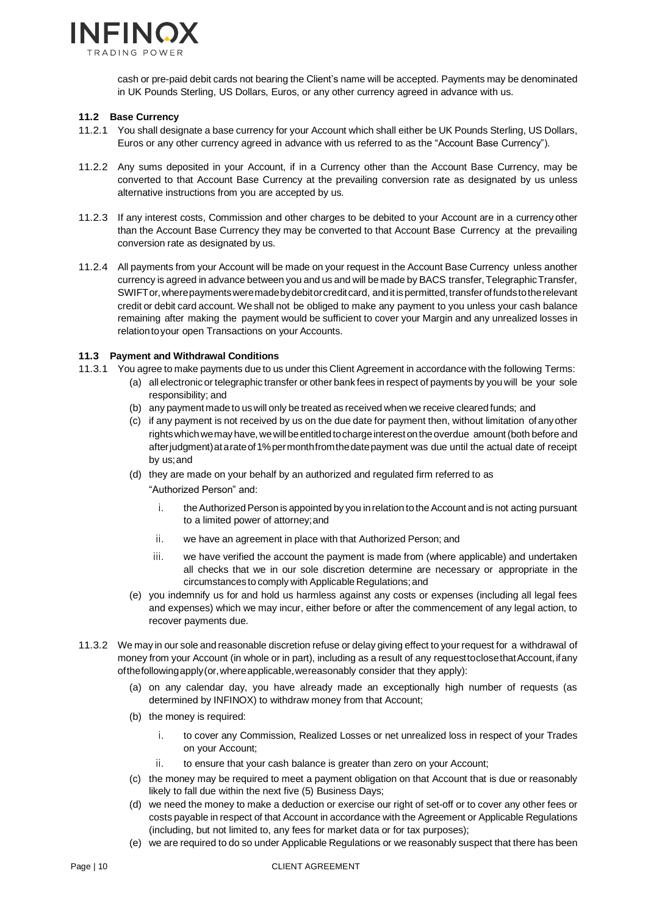

cash or pre-paid debit cards not bearing the Client's name will be accepted. Payments may be denominated in UK Pounds Sterling, US Dollars, Euros, or any other currency agreed in advance with us.

#### **11.2 Base Currency**

- 11.2.1 You shall designate a base currency for your Account which shall either be UK Pounds Sterling, US Dollars, Euros or any other currency agreed in advance with us referred to as the "Account Base Currency").
- 11.2.2 Any sums deposited in your Account, if in a Currency other than the Account Base Currency, may be converted to that Account Base Currency at the prevailing conversion rate as designated by us unless alternative instructions from you are accepted by us.
- 11.2.3 If any interest costs, Commission and other charges to be debited to your Account are in a currency other than the Account Base Currency they may be converted to that Account Base Currency at the prevailing conversion rate as designated by us.
- 11.2.4 All payments from your Account will be made on your request in the Account Base Currency unless another currency is agreed in advance between you and us and will be made by BACS transfer, Telegraphic Transfer, SWIFT or, where payments were made by debit or credit card, and it is permitted, transfer of funds to the relevant credit or debit card account. We shall not be obliged to make any payment to you unless your cash balance remaining after making the payment would be sufficient to cover your Margin and any unrealized losses in relationtoyour open Transactions on your Accounts.

#### **11.3 Payment and Withdrawal Conditions**

- 11.3.1 You agree to make payments due to us under this Client Agreement in accordance with the following Terms:
	- (a) all electronic or telegraphic transfer or other bank fees in respect of payments by you will be your sole responsibility; and
	- (b) any payment madeto uswill only be treated as received when we receive cleared funds; and
	- (c) if any payment is not received by us on the due date for payment then, without limitation of anyother rights which we may have, we will be entitled to charge interest on the overdue amount (both before and afterjudgment)atarateof1%permonthfromthedatepayment was due until the actual date of receipt by us;and
	- (d) they are made on your behalf by an authorized and regulated firm referred to as
		- "Authorized Person" and:
			- i. the Authorized Person is appointed by you in relation to the Account and is not acting pursuant to a limited power of attorney;and
		- ii. we have an agreement in place with that Authorized Person; and
		- iii. we have verified the account the payment is made from (where applicable) and undertaken all checks that we in our sole discretion determine are necessary or appropriate in the circumstances to comply with Applicable Regulations;and
	- (e) you indemnify us for and hold us harmless against any costs or expenses (including all legal fees and expenses) which we may incur, either before or after the commencement of any legal action, to recover payments due.
- 11.3.2 We may in our sole and reasonable discretion refuse or delay giving effect to yourrequest for a withdrawal of money from your Account (in whole or in part), including as a result of any requesttoclosethat Account, if any ofthefollowingapply(or,whereapplicable,wereasonably consider that they apply):
	- (a) on any calendar day, you have already made an exceptionally high number of requests (as determined by INFINOX) to withdraw money from that Account;
	- (b) the money is required:
		- i. to cover any Commission, Realized Losses or net unrealized loss in respect of your Trades on your Account;
		- ii. to ensure that your cash balance is greater than zero on your Account;
	- (c) the money may be required to meet a payment obligation on that Account that is due or reasonably likely to fall due within the next five (5) Business Days;
	- (d) we need the money to make a deduction or exercise our right of set-off or to cover any other fees or costs payable in respect of that Account in accordance with the Agreement or Applicable Regulations (including, but not limited to, any fees for market data or for tax purposes);
	- (e) we are required to do so under Applicable Regulations or we reasonably suspect that there has been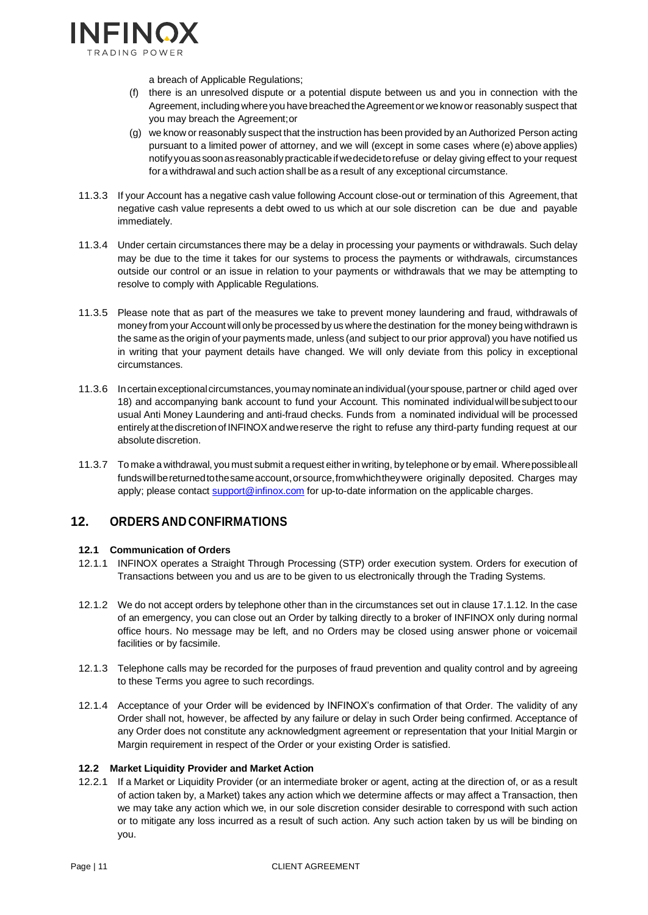

a breach of Applicable Regulations;

- (f) there is an unresolved dispute or a potential dispute between us and you in connection with the Agreement, including where you have breached the Agreement or we know or reasonably suspect that you may breach the Agreement;or
- (g) we know or reasonably suspect that the instruction has been provided by an Authorized Person acting pursuant to a limited power of attorney, and we will (except in some cases where (e) above applies) notify you as soon as reasonably practicable if we decide to refuse or delay giving effect to your request for a withdrawal and such action shall be as a result of any exceptional circumstance.
- 11.3.3 If your Account has a negative cash value following Account close-out or termination of this Agreement, that negative cash value represents a debt owed to us which at our sole discretion can be due and payable immediately.
- 11.3.4 Under certain circumstances there may be a delay in processing your payments or withdrawals. Such delay may be due to the time it takes for our systems to process the payments or withdrawals, circumstances outside our control or an issue in relation to your payments or withdrawals that we may be attempting to resolve to comply with Applicable Regulations.
- 11.3.5 Please note that as part of the measures we take to prevent money laundering and fraud, withdrawals of money from your Account will only be processed by us where the destination for the money being withdrawn is the same as the origin of your payments made, unless (and subject to our prior approval) you have notified us in writing that your payment details have changed. We will only deviate from this policy in exceptional circumstances.
- 11.3.6 Incertainexceptionalcircumstances,youmaynominateanindividual(yourspouse, partner or child aged over 18) and accompanying bank account to fund your Account. This nominated individualwillbesubject toour usual Anti Money Laundering and anti-fraud checks. Funds from a nominated individual will be processed entirelyatthediscretionof INFINOXandwereserve the right to refuse any third-party funding request at our absolute discretion.
- 11.3.7 To make a withdrawal, you must submit a request either in writing, by telephone or by email. Wherepossibleall funds will be returned to the same account, or source, from which they were originally deposited. Charges may apply; please contact [support@infinox.com](mailto:support@infinox.com) for up-to-date information on the applicable charges.

# <span id="page-11-0"></span>**12. ORDERS AND CONFIRMATIONS**

#### **12.1 Communication of Orders**

- 12.1.1 INFINOX operates a Straight Through Processing (STP) order execution system. Orders for execution of Transactions between you and us are to be given to us electronically through the Trading Systems.
- 12.1.2 We do not accept orders by telephone other than in the circumstances set out in clause 17.1.12. In the case of an emergency, you can close out an Order by talking directly to a broker of INFINOX only during normal office hours. No message may be left, and no Orders may be closed using answer phone or voicemail facilities or by facsimile.
- 12.1.3 Telephone calls may be recorded for the purposes of fraud prevention and quality control and by agreeing to these Terms you agree to such recordings.
- 12.1.4 Acceptance of your Order will be evidenced by INFINOX's confirmation of that Order. The validity of any Order shall not, however, be affected by any failure or delay in such Order being confirmed. Acceptance of any Order does not constitute any acknowledgment agreement or representation that your Initial Margin or Margin requirement in respect of the Order or your existing Order is satisfied.

#### **12.2 Market Liquidity Provider and Market Action**

12.2.1 If a Market or Liquidity Provider (or an intermediate broker or agent, acting at the direction of, or as a result of action taken by, a Market) takes any action which we determine affects or may affect a Transaction, then we may take any action which we, in our sole discretion consider desirable to correspond with such action or to mitigate any loss incurred as a result of such action. Any such action taken by us will be binding on you.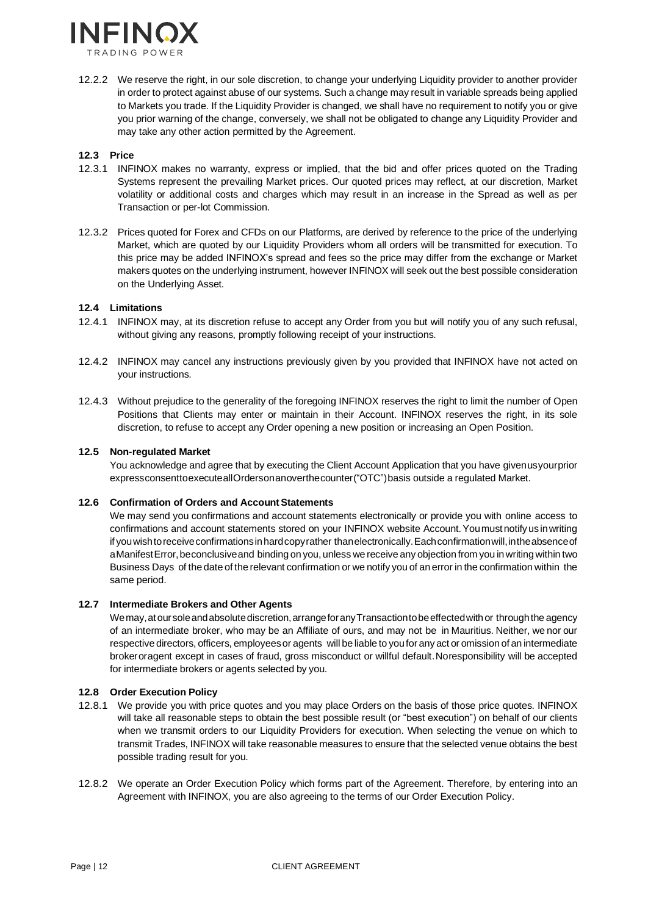

12.2.2 We reserve the right, in our sole discretion, to change your underlying Liquidity provider to another provider in order to protect against abuse of our systems. Such a change may result in variable spreads being applied to Markets you trade. If the Liquidity Provider is changed, we shall have no requirement to notify you or give you prior warning of the change, conversely, we shall not be obligated to change any Liquidity Provider and may take any other action permitted by the Agreement.

#### **12.3 Price**

- 12.3.1 INFINOX makes no warranty, express or implied, that the bid and offer prices quoted on the Trading Systems represent the prevailing Market prices. Our quoted prices may reflect, at our discretion, Market volatility or additional costs and charges which may result in an increase in the Spread as well as per Transaction or per-lot Commission.
- 12.3.2 Prices quoted for Forex and CFDs on our Platforms, are derived by reference to the price of the underlying Market, which are quoted by our Liquidity Providers whom all orders will be transmitted for execution. To this price may be added INFINOX's spread and fees so the price may differ from the exchange or Market makers quotes on the underlying instrument, however INFINOX will seek out the best possible consideration on the Underlying Asset.

#### **12.4 Limitations**

- 12.4.1 INFINOX may, at its discretion refuse to accept any Order from you but will notify you of any such refusal, without giving any reasons, promptly following receipt of your instructions.
- 12.4.2 INFINOX may cancel any instructions previously given by you provided that INFINOX have not acted on your instructions.
- 12.4.3 Without prejudice to the generality of the foregoing INFINOX reserves the right to limit the number of Open Positions that Clients may enter or maintain in their Account. INFINOX reserves the right, in its sole discretion, to refuse to accept any Order opening a new position or increasing an Open Position.

#### **12.5 Non-regulated Market**

You acknowledge and agree that by executing the Client Account Application that you have givenusyourprior expressconsenttoexecuteallOrdersonanoverthecounter("OTC")basis outside a regulated Market.

#### **12.6 Confirmation of Orders and Account Statements**

We may send you confirmations and account statements electronically or provide you with online access to confirmations and account statements stored on your INFINOX website Account.Youmust notifyus inwriting if you wish to receive confirmations in hard copy rather than electronically. Each confirmation will, in the absence of aManifest Error, beconclusive and binding on you, unless we receive any objection from you in writing within two Business Days of the date of the relevant confirmation or we notify you of an error in the confirmation within the same period.

#### **12.7 Intermediate Brokers and Other Agents**

Wemay,atoursoleandabsolutediscretion,arrangeforanyTransactiontobeeffectedwithor throughthe agency of an intermediate broker, who may be an Affiliate of ours, and may not be in Mauritius. Neither, we nor our respective directors, officers, employeesor agents will be liable to youfor any act or omission of an intermediate brokeroragent except in cases of fraud, gross misconduct or willful default.Noresponsibility will be accepted for intermediate brokers or agents selected by you.

#### **12.8 Order Execution Policy**

- 12.8.1 We provide you with price quotes and you may place Orders on the basis of those price quotes. INFINOX will take all reasonable steps to obtain the best possible result (or "best execution") on behalf of our clients when we transmit orders to our Liquidity Providers for execution. When selecting the venue on which to transmit Trades, INFINOX will take reasonable measures to ensure that the selected venue obtains the best possible trading result for you.
- 12.8.2 We operate an Order Execution Policy which forms part of the Agreement. Therefore, by entering into an Agreement with INFINOX, you are also agreeing to the terms of our Order Execution Policy.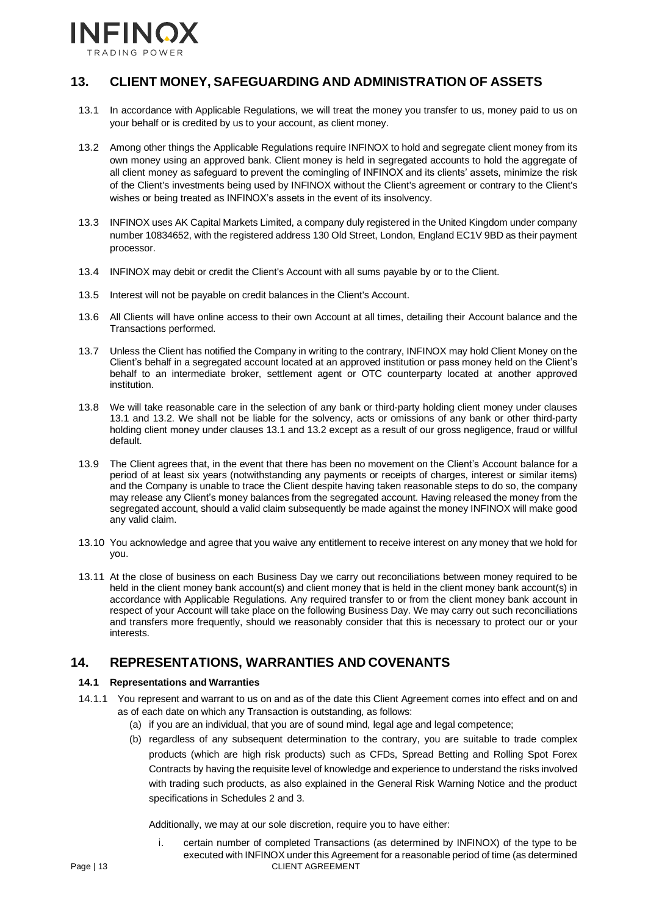

# <span id="page-13-0"></span>**13. CLIENT MONEY, SAFEGUARDING AND ADMINISTRATION OF ASSETS**

- 13.1 In accordance with Applicable Regulations, we will treat the money you transfer to us, money paid to us on your behalf or is credited by us to your account, as client money.
- 13.2 Among other things the Applicable Regulations require INFINOX to hold and segregate client money from its own money using an approved bank. Client money is held in segregated accounts to hold the aggregate of all client money as safeguard to prevent the comingling of INFINOX and its clients' assets, minimize the risk of the Client's investments being used by INFINOX without the Client's agreement or contrary to the Client's wishes or being treated as INFINOX's assets in the event of its insolvency.
- 13.3 INFINOX uses AK Capital Markets Limited, a company duly registered in the United Kingdom under company number 10834652, with the registered address 130 Old Street, London, England EC1V 9BD as their payment processor.
- 13.4 INFINOX may debit or credit the Client's Account with all sums payable by or to the Client.
- 13.5 Interest will not be payable on credit balances in the Client's Account.
- 13.6 All Clients will have online access to their own Account at all times, detailing their Account balance and the Transactions performed.
- 13.7 Unless the Client has notified the Company in writing to the contrary, INFINOX may hold Client Money on the Client's behalf in a segregated account located at an approved institution or pass money held on the Client's behalf to an intermediate broker, settlement agent or OTC counterparty located at another approved institution.
- 13.8 We will take reasonable care in the selection of any bank or third-party holding client money under clauses 13.1 and 13.2. We shall not be liable for the solvency, acts or omissions of any bank or other third-party holding client money under clauses 13.1 and 13.2 except as a result of our gross negligence, fraud or willful default.
- 13.9 The Client agrees that, in the event that there has been no movement on the Client's Account balance for a period of at least six years (notwithstanding any payments or receipts of charges, interest or similar items) and the Company is unable to trace the Client despite having taken reasonable steps to do so, the company may release any Client's money balances from the segregated account. Having released the money from the segregated account, should a valid claim subsequently be made against the money INFINOX will make good any valid claim.
- 13.10 You acknowledge and agree that you waive any entitlement to receive interest on any money that we hold for you.
- 13.11 At the close of business on each Business Day we carry out reconciliations between money required to be held in the client money bank account(s) and client money that is held in the client money bank account(s) in accordance with Applicable Regulations. Any required transfer to or from the client money bank account in respect of your Account will take place on the following Business Day. We may carry out such reconciliations and transfers more frequently, should we reasonably consider that this is necessary to protect our or your interests.

# <span id="page-13-1"></span>**14. REPRESENTATIONS, WARRANTIES AND COVENANTS**

#### **14.1 Representations and Warranties**

- 14.1.1 You represent and warrant to us on and as of the date this Client Agreement comes into effect and on and as of each date on which any Transaction is outstanding, as follows:
	- (a) if you are an individual, that you are of sound mind, legal age and legal competence;
	- (b) regardless of any subsequent determination to the contrary, you are suitable to trade complex products (which are high risk products) such as CFDs, Spread Betting and Rolling Spot Forex Contracts by having the requisite level of knowledge and experience to understand the risks involved with trading such products, as also explained in the General Risk Warning Notice and the product specifications in Schedules 2 and 3.

Additionally, we may at our sole discretion, require you to have either:

Page | 13 CLIENT AGREEMENT i. certain number of completed Transactions (as determined by INFINOX) of the type to be executed with INFINOX under this Agreement for a reasonable period of time (as determined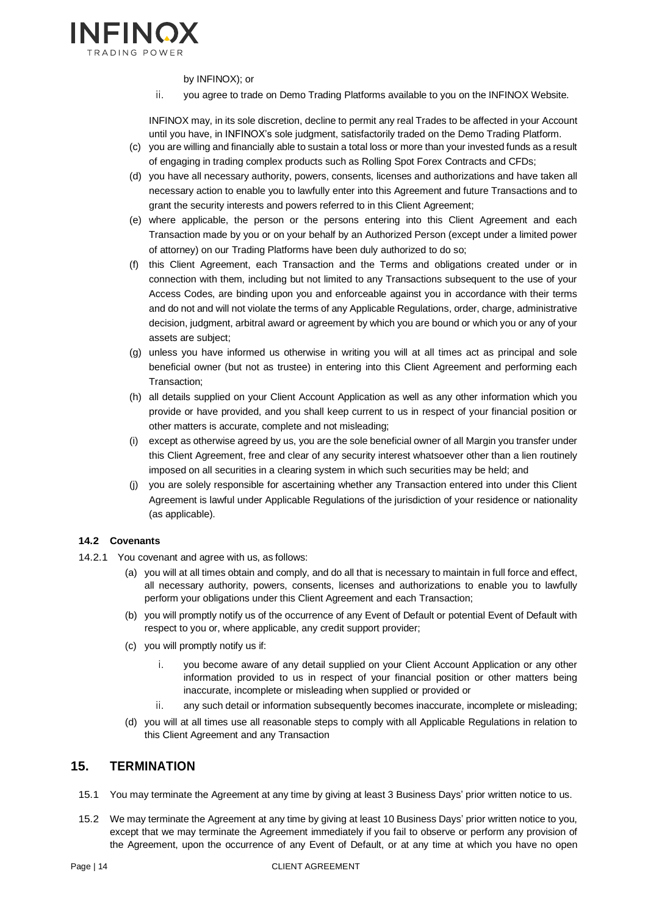

by INFINOX); or

ii. you agree to trade on Demo Trading Platforms available to you on the INFINOX Website.

INFINOX may, in its sole discretion, decline to permit any real Trades to be affected in your Account until you have, in INFINOX's sole judgment, satisfactorily traded on the Demo Trading Platform.

- (c) you are willing and financially able to sustain a total loss or more than your invested funds as a result of engaging in trading complex products such as Rolling Spot Forex Contracts and CFDs;
- (d) you have all necessary authority, powers, consents, licenses and authorizations and have taken all necessary action to enable you to lawfully enter into this Agreement and future Transactions and to grant the security interests and powers referred to in this Client Agreement;
- (e) where applicable, the person or the persons entering into this Client Agreement and each Transaction made by you or on your behalf by an Authorized Person (except under a limited power of attorney) on our Trading Platforms have been duly authorized to do so;
- (f) this Client Agreement, each Transaction and the Terms and obligations created under or in connection with them, including but not limited to any Transactions subsequent to the use of your Access Codes, are binding upon you and enforceable against you in accordance with their terms and do not and will not violate the terms of any Applicable Regulations, order, charge, administrative decision, judgment, arbitral award or agreement by which you are bound or which you or any of your assets are subject;
- (g) unless you have informed us otherwise in writing you will at all times act as principal and sole beneficial owner (but not as trustee) in entering into this Client Agreement and performing each Transaction;
- (h) all details supplied on your Client Account Application as well as any other information which you provide or have provided, and you shall keep current to us in respect of your financial position or other matters is accurate, complete and not misleading;
- (i) except as otherwise agreed by us, you are the sole beneficial owner of all Margin you transfer under this Client Agreement, free and clear of any security interest whatsoever other than a lien routinely imposed on all securities in a clearing system in which such securities may be held; and
- (j) you are solely responsible for ascertaining whether any Transaction entered into under this Client Agreement is lawful under Applicable Regulations of the jurisdiction of your residence or nationality (as applicable).

#### **14.2 Covenants**

- 14.2.1 You covenant and agree with us, as follows:
	- (a) you will at all times obtain and comply, and do all that is necessary to maintain in full force and effect, all necessary authority, powers, consents, licenses and authorizations to enable you to lawfully perform your obligations under this Client Agreement and each Transaction;
	- (b) you will promptly notify us of the occurrence of any Event of Default or potential Event of Default with respect to you or, where applicable, any credit support provider;
	- (c) you will promptly notify us if:
		- i. you become aware of any detail supplied on your Client Account Application or any other information provided to us in respect of your financial position or other matters being inaccurate, incomplete or misleading when supplied or provided or
		- ii. any such detail or information subsequently becomes inaccurate, incomplete or misleading;
	- (d) you will at all times use all reasonable steps to comply with all Applicable Regulations in relation to this Client Agreement and any Transaction

# <span id="page-14-0"></span>**15. TERMINATION**

- 15.1 You may terminate the Agreement at any time by giving at least 3 Business Days' prior written notice to us.
- 15.2 We may terminate the Agreement at any time by giving at least 10 Business Days' prior written notice to you, except that we may terminate the Agreement immediately if you fail to observe or perform any provision of the Agreement, upon the occurrence of any Event of Default, or at any time at which you have no open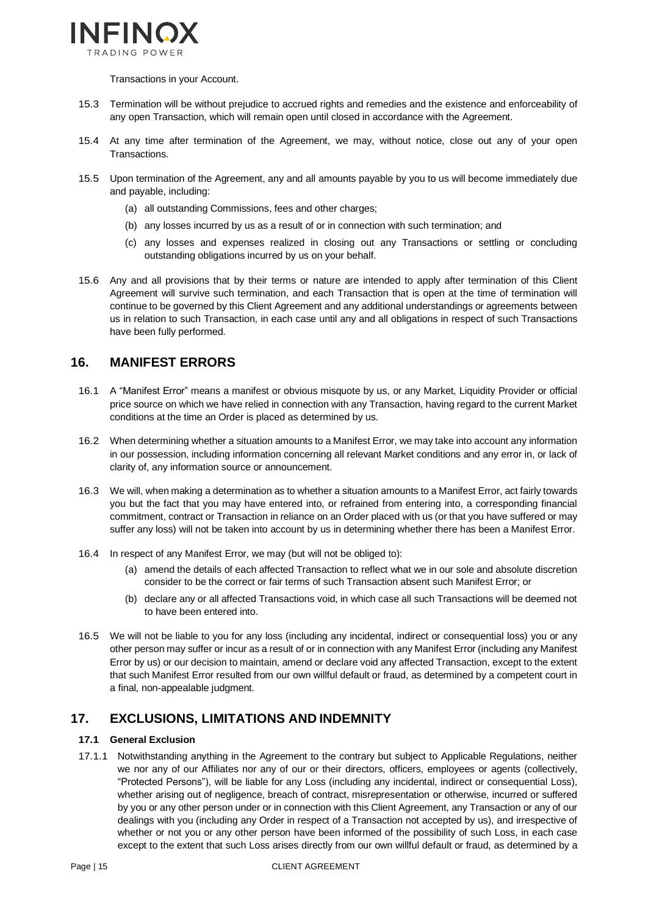

Transactions in your Account.

- 15.3 Termination will be without prejudice to accrued rights and remedies and the existence and enforceability of any open Transaction, which will remain open until closed in accordance with the Agreement.
- 15.4 At any time after termination of the Agreement, we may, without notice, close out any of your open Transactions.
- 15.5 Upon termination of the Agreement, any and all amounts payable by you to us will become immediately due and payable, including:
	- (a) all outstanding Commissions, fees and other charges;
	- (b) any losses incurred by us as a result of or in connection with such termination; and
	- (c) any losses and expenses realized in closing out any Transactions or settling or concluding outstanding obligations incurred by us on your behalf.
- 15.6 Any and all provisions that by their terms or nature are intended to apply after termination of this Client Agreement will survive such termination, and each Transaction that is open at the time of termination will continue to be governed by this Client Agreement and any additional understandings or agreements between us in relation to such Transaction, in each case until any and all obligations in respect of such Transactions have been fully performed.

# <span id="page-15-0"></span>**16. MANIFEST ERRORS**

- 16.1 A "Manifest Error" means a manifest or obvious misquote by us, or any Market, Liquidity Provider or official price source on which we have relied in connection with any Transaction, having regard to the current Market conditions at the time an Order is placed as determined by us.
- 16.2 When determining whether a situation amounts to a Manifest Error, we may take into account any information in our possession, including information concerning all relevant Market conditions and any error in, or lack of clarity of, any information source or announcement.
- 16.3 We will, when making a determination as to whether a situation amounts to a Manifest Error, act fairly towards you but the fact that you may have entered into, or refrained from entering into, a corresponding financial commitment, contract or Transaction in reliance on an Order placed with us (or that you have suffered or may suffer any loss) will not be taken into account by us in determining whether there has been a Manifest Error.
- 16.4 In respect of any Manifest Error, we may (but will not be obliged to):
	- (a) amend the details of each affected Transaction to reflect what we in our sole and absolute discretion consider to be the correct or fair terms of such Transaction absent such Manifest Error; or
	- (b) declare any or all affected Transactions void, in which case all such Transactions will be deemed not to have been entered into.
- 16.5 We will not be liable to you for any loss (including any incidental, indirect or consequential loss) you or any other person may suffer or incur as a result of or in connection with any Manifest Error (including any Manifest Error by us) or our decision to maintain, amend or declare void any affected Transaction, except to the extent that such Manifest Error resulted from our own willful default or fraud, as determined by a competent court in a final, non-appealable judgment.

# <span id="page-15-1"></span>**17. EXCLUSIONS, LIMITATIONS AND INDEMNITY**

#### **17.1 General Exclusion**

17.1.1 Notwithstanding anything in the Agreement to the contrary but subject to Applicable Regulations, neither we nor any of our Affiliates nor any of our or their directors, officers, employees or agents (collectively, "Protected Persons"), will be liable for any Loss (including any incidental, indirect or consequential Loss), whether arising out of negligence, breach of contract, misrepresentation or otherwise, incurred or suffered by you or any other person under or in connection with this Client Agreement, any Transaction or any of our dealings with you (including any Order in respect of a Transaction not accepted by us), and irrespective of whether or not you or any other person have been informed of the possibility of such Loss, in each case except to the extent that such Loss arises directly from our own willful default or fraud, as determined by a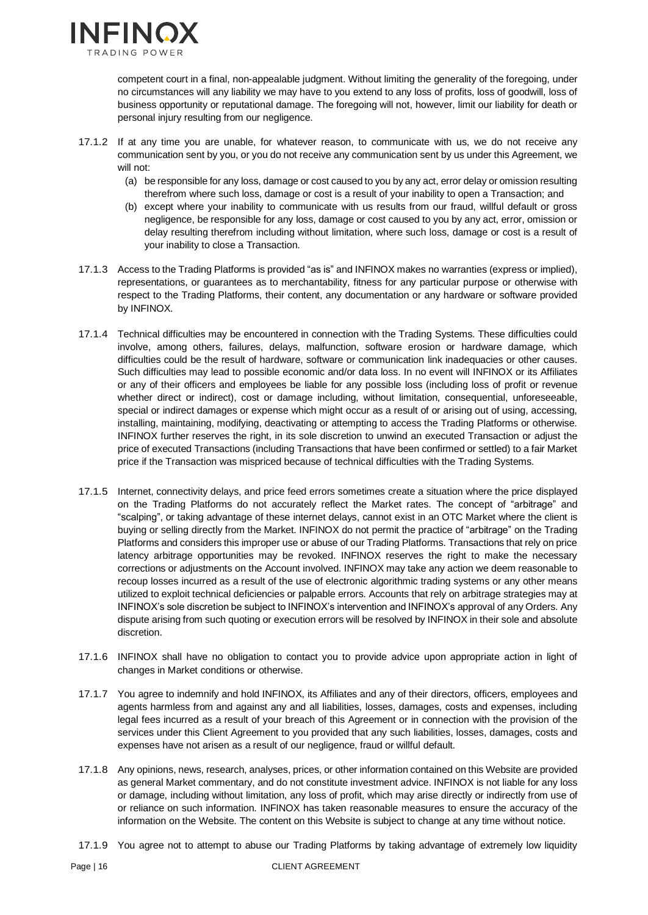

competent court in a final, non-appealable judgment. Without limiting the generality of the foregoing, under no circumstances will any liability we may have to you extend to any loss of profits, loss of goodwill, loss of business opportunity or reputational damage. The foregoing will not, however, limit our liability for death or personal injury resulting from our negligence.

- 17.1.2 If at any time you are unable, for whatever reason, to communicate with us, we do not receive any communication sent by you, or you do not receive any communication sent by us under this Agreement, we will not:
	- (a) be responsible for any loss, damage or cost caused to you by any act, error delay or omission resulting therefrom where such loss, damage or cost is a result of your inability to open a Transaction; and
	- (b) except where your inability to communicate with us results from our fraud, willful default or gross negligence, be responsible for any loss, damage or cost caused to you by any act, error, omission or delay resulting therefrom including without limitation, where such loss, damage or cost is a result of your inability to close a Transaction.
- 17.1.3 Access to the Trading Platforms is provided "as is" and INFINOX makes no warranties (express or implied), representations, or guarantees as to merchantability, fitness for any particular purpose or otherwise with respect to the Trading Platforms, their content, any documentation or any hardware or software provided by INFINOX.
- 17.1.4 Technical difficulties may be encountered in connection with the Trading Systems. These difficulties could involve, among others, failures, delays, malfunction, software erosion or hardware damage, which difficulties could be the result of hardware, software or communication link inadequacies or other causes. Such difficulties may lead to possible economic and/or data loss. In no event will INFINOX or its Affiliates or any of their officers and employees be liable for any possible loss (including loss of profit or revenue whether direct or indirect), cost or damage including, without limitation, consequential, unforeseeable, special or indirect damages or expense which might occur as a result of or arising out of using, accessing, installing, maintaining, modifying, deactivating or attempting to access the Trading Platforms or otherwise. INFINOX further reserves the right, in its sole discretion to unwind an executed Transaction or adjust the price of executed Transactions (including Transactions that have been confirmed or settled) to a fair Market price if the Transaction was mispriced because of technical difficulties with the Trading Systems.
- 17.1.5 Internet, connectivity delays, and price feed errors sometimes create a situation where the price displayed on the Trading Platforms do not accurately reflect the Market rates. The concept of "arbitrage" and "scalping", or taking advantage of these internet delays, cannot exist in an OTC Market where the client is buying or selling directly from the Market. INFINOX do not permit the practice of "arbitrage" on the Trading Platforms and considers this improper use or abuse of our Trading Platforms. Transactions that rely on price latency arbitrage opportunities may be revoked. INFINOX reserves the right to make the necessary corrections or adjustments on the Account involved. INFINOX may take any action we deem reasonable to recoup losses incurred as a result of the use of electronic algorithmic trading systems or any other means utilized to exploit technical deficiencies or palpable errors. Accounts that rely on arbitrage strategies may at INFINOX's sole discretion be subject to INFINOX's intervention and INFINOX's approval of any Orders. Any dispute arising from such quoting or execution errors will be resolved by INFINOX in their sole and absolute discretion.
- 17.1.6 INFINOX shall have no obligation to contact you to provide advice upon appropriate action in light of changes in Market conditions or otherwise.
- 17.1.7 You agree to indemnify and hold INFINOX, its Affiliates and any of their directors, officers, employees and agents harmless from and against any and all liabilities, losses, damages, costs and expenses, including legal fees incurred as a result of your breach of this Agreement or in connection with the provision of the services under this Client Agreement to you provided that any such liabilities, losses, damages, costs and expenses have not arisen as a result of our negligence, fraud or willful default.
- 17.1.8 Any opinions, news, research, analyses, prices, or other information contained on this Website are provided as general Market commentary, and do not constitute investment advice. INFINOX is not liable for any loss or damage, including without limitation, any loss of profit, which may arise directly or indirectly from use of or reliance on such information. INFINOX has taken reasonable measures to ensure the accuracy of the information on the Website. The content on this Website is subject to change at any time without notice.
- 17.1.9 You agree not to attempt to abuse our Trading Platforms by taking advantage of extremely low liquidity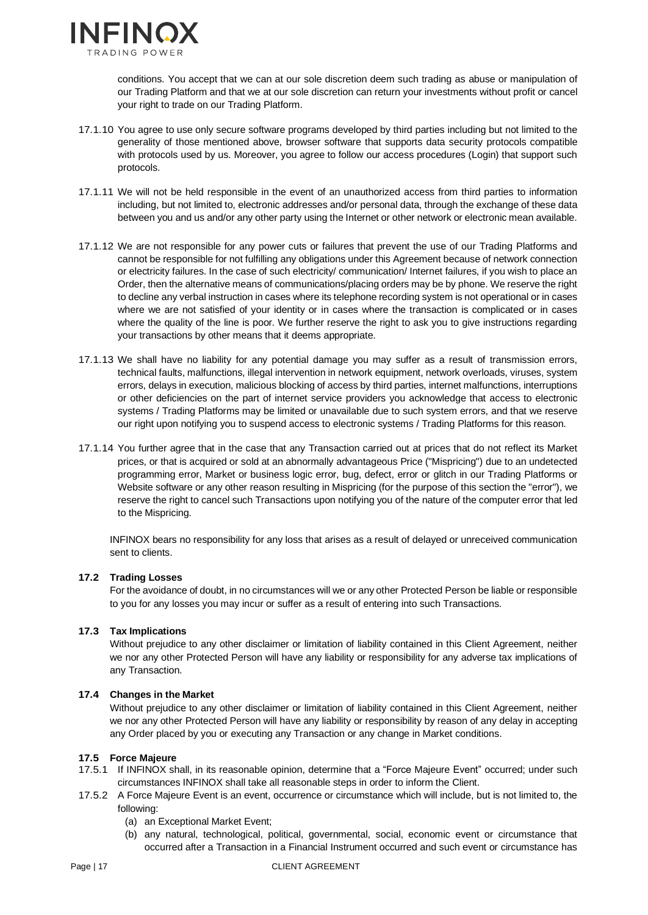

conditions. You accept that we can at our sole discretion deem such trading as abuse or manipulation of our Trading Platform and that we at our sole discretion can return your investments without profit or cancel your right to trade on our Trading Platform.

- 17.1.10 You agree to use only secure software programs developed by third parties including but not limited to the generality of those mentioned above, browser software that supports data security protocols compatible with protocols used by us. Moreover, you agree to follow our access procedures (Login) that support such protocols.
- 17.1.11 We will not be held responsible in the event of an unauthorized access from third parties to information including, but not limited to, electronic addresses and/or personal data, through the exchange of these data between you and us and/or any other party using the Internet or other network or electronic mean available.
- 17.1.12 We are not responsible for any power cuts or failures that prevent the use of our Trading Platforms and cannot be responsible for not fulfilling any obligations under this Agreement because of network connection or electricity failures. In the case of such electricity/ communication/ Internet failures, if you wish to place an Order, then the alternative means of communications/placing orders may be by phone. We reserve the right to decline any verbal instruction in cases where its telephone recording system is not operational or in cases where we are not satisfied of your identity or in cases where the transaction is complicated or in cases where the quality of the line is poor. We further reserve the right to ask you to give instructions regarding your transactions by other means that it deems appropriate.
- 17.1.13 We shall have no liability for any potential damage you may suffer as a result of transmission errors, technical faults, malfunctions, illegal intervention in network equipment, network overloads, viruses, system errors, delays in execution, malicious blocking of access by third parties, internet malfunctions, interruptions or other deficiencies on the part of internet service providers you acknowledge that access to electronic systems / Trading Platforms may be limited or unavailable due to such system errors, and that we reserve our right upon notifying you to suspend access to electronic systems / Trading Platforms for this reason.
- 17.1.14 You further agree that in the case that any Transaction carried out at prices that do not reflect its Market prices, or that is acquired or sold at an abnormally advantageous Price ("Mispricing") due to an undetected programming error, Market or business logic error, bug, defect, error or glitch in our Trading Platforms or Website software or any other reason resulting in Mispricing (for the purpose of this section the "error"), we reserve the right to cancel such Transactions upon notifying you of the nature of the computer error that led to the Mispricing.

INFINOX bears no responsibility for any loss that arises as a result of delayed or unreceived communication sent to clients.

#### **17.2 Trading Losses**

For the avoidance of doubt, in no circumstances will we or any other Protected Person be liable or responsible to you for any losses you may incur or suffer as a result of entering into such Transactions.

#### **17.3 Tax Implications**

Without prejudice to any other disclaimer or limitation of liability contained in this Client Agreement, neither we nor any other Protected Person will have any liability or responsibility for any adverse tax implications of any Transaction.

#### **17.4 Changes in the Market**

Without prejudice to any other disclaimer or limitation of liability contained in this Client Agreement, neither we nor any other Protected Person will have any liability or responsibility by reason of any delay in accepting any Order placed by you or executing any Transaction or any change in Market conditions.

#### **17.5 Force Majeure**

- 17.5.1 If INFINOX shall, in its reasonable opinion, determine that a "Force Majeure Event" occurred; under such circumstances INFINOX shall take all reasonable steps in order to inform the Client.
- 17.5.2 A Force Majeure Event is an event, occurrence or circumstance which will include, but is not limited to, the following:
	- (a) an Exceptional Market Event;
	- (b) any natural, technological, political, governmental, social, economic event or circumstance that occurred after a Transaction in a Financial Instrument occurred and such event or circumstance has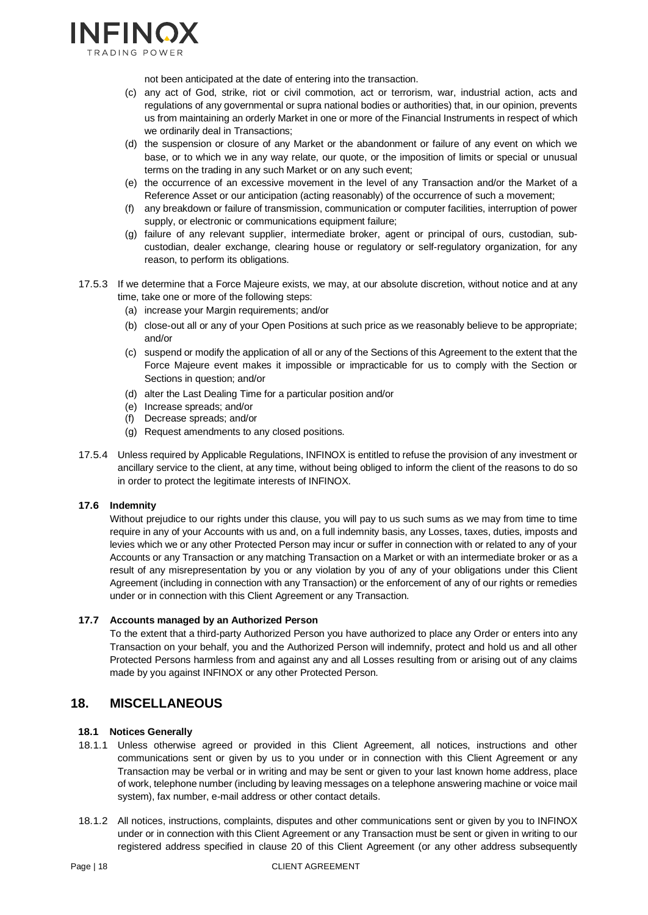

not been anticipated at the date of entering into the transaction.

- (c) any act of God, strike, riot or civil commotion, act or terrorism, war, industrial action, acts and regulations of any governmental or supra national bodies or authorities) that, in our opinion, prevents us from maintaining an orderly Market in one or more of the Financial Instruments in respect of which we ordinarily deal in Transactions;
- (d) the suspension or closure of any Market or the abandonment or failure of any event on which we base, or to which we in any way relate, our quote, or the imposition of limits or special or unusual terms on the trading in any such Market or on any such event;
- (e) the occurrence of an excessive movement in the level of any Transaction and/or the Market of a Reference Asset or our anticipation (acting reasonably) of the occurrence of such a movement;
- (f) any breakdown or failure of transmission, communication or computer facilities, interruption of power supply, or electronic or communications equipment failure;
- (g) failure of any relevant supplier, intermediate broker, agent or principal of ours, custodian, subcustodian, dealer exchange, clearing house or regulatory or self-regulatory organization, for any reason, to perform its obligations.
- 17.5.3 If we determine that a Force Majeure exists, we may, at our absolute discretion, without notice and at any time, take one or more of the following steps:
	- (a) increase your Margin requirements; and/or
	- (b) close-out all or any of your Open Positions at such price as we reasonably believe to be appropriate; and/or
	- (c) suspend or modify the application of all or any of the Sections of this Agreement to the extent that the Force Majeure event makes it impossible or impracticable for us to comply with the Section or Sections in question; and/or
	- (d) alter the Last Dealing Time for a particular position and/or
	- (e) Increase spreads; and/or
	- (f) Decrease spreads; and/or
	- (g) Request amendments to any closed positions.
- 17.5.4 Unless required by Applicable Regulations, INFINOX is entitled to refuse the provision of any investment or ancillary service to the client, at any time, without being obliged to inform the client of the reasons to do so in order to protect the legitimate interests of INFINOX.

#### **17.6 Indemnity**

Without prejudice to our rights under this clause, you will pay to us such sums as we may from time to time require in any of your Accounts with us and, on a full indemnity basis, any Losses, taxes, duties, imposts and levies which we or any other Protected Person may incur or suffer in connection with or related to any of your Accounts or any Transaction or any matching Transaction on a Market or with an intermediate broker or as a result of any misrepresentation by you or any violation by you of any of your obligations under this Client Agreement (including in connection with any Transaction) or the enforcement of any of our rights or remedies under or in connection with this Client Agreement or any Transaction.

#### **17.7 Accounts managed by an Authorized Person**

To the extent that a third-party Authorized Person you have authorized to place any Order or enters into any Transaction on your behalf, you and the Authorized Person will indemnify, protect and hold us and all other Protected Persons harmless from and against any and all Losses resulting from or arising out of any claims made by you against INFINOX or any other Protected Person.

# <span id="page-18-0"></span>**18. MISCELLANEOUS**

#### **18.1 Notices Generally**

- 18.1.1 Unless otherwise agreed or provided in this Client Agreement, all notices, instructions and other communications sent or given by us to you under or in connection with this Client Agreement or any Transaction may be verbal or in writing and may be sent or given to your last known home address, place of work, telephone number (including by leaving messages on a telephone answering machine or voice mail system), fax number, e-mail address or other contact details.
- 18.1.2 All notices, instructions, complaints, disputes and other communications sent or given by you to INFINOX under or in connection with this Client Agreement or any Transaction must be sent or given in writing to our registered address specified in clause 20 of this Client Agreement (or any other address subsequently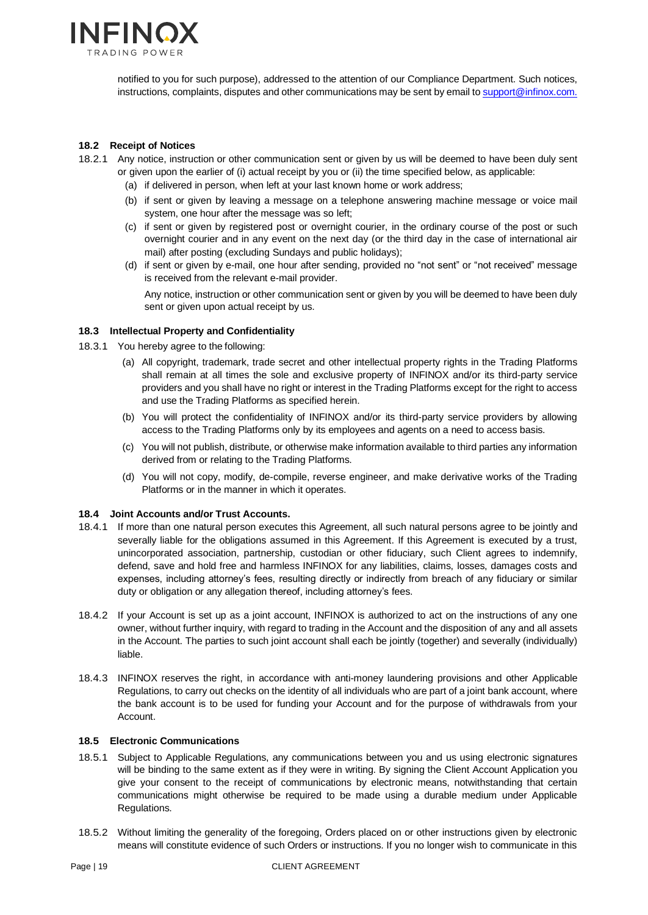

notified to you for such purpose), addressed to the attention of our Compliance Department. Such notices, instructions, complaints, disputes and other communications may be sent by email to [support@infinox.com.](mailto:support@infinox.com.)

#### **18.2 Receipt of Notices**

- 18.2.1 Any notice, instruction or other communication sent or given by us will be deemed to have been duly sent or given upon the earlier of (i) actual receipt by you or (ii) the time specified below, as applicable:
	- (a) if delivered in person, when left at your last known home or work address;
	- (b) if sent or given by leaving a message on a telephone answering machine message or voice mail system, one hour after the message was so left;
	- (c) if sent or given by registered post or overnight courier, in the ordinary course of the post or such overnight courier and in any event on the next day (or the third day in the case of international air mail) after posting (excluding Sundays and public holidays);
	- (d) if sent or given by e-mail, one hour after sending, provided no "not sent" or "not received" message is received from the relevant e-mail provider.

Any notice, instruction or other communication sent or given by you will be deemed to have been duly sent or given upon actual receipt by us.

#### **18.3 Intellectual Property and Confidentiality**

- 18.3.1 You hereby agree to the following:
	- (a) All copyright, trademark, trade secret and other intellectual property rights in the Trading Platforms shall remain at all times the sole and exclusive property of INFINOX and/or its third-party service providers and you shall have no right or interest in the Trading Platforms except for the right to access and use the Trading Platforms as specified herein.
	- (b) You will protect the confidentiality of INFINOX and/or its third-party service providers by allowing access to the Trading Platforms only by its employees and agents on a need to access basis.
	- (c) You will not publish, distribute, or otherwise make information available to third parties any information derived from or relating to the Trading Platforms.
	- (d) You will not copy, modify, de-compile, reverse engineer, and make derivative works of the Trading Platforms or in the manner in which it operates.

#### **18.4 Joint Accounts and/or Trust Accounts.**

- 18.4.1 If more than one natural person executes this Agreement, all such natural persons agree to be jointly and severally liable for the obligations assumed in this Agreement. If this Agreement is executed by a trust, unincorporated association, partnership, custodian or other fiduciary, such Client agrees to indemnify, defend, save and hold free and harmless INFINOX for any liabilities, claims, losses, damages costs and expenses, including attorney's fees, resulting directly or indirectly from breach of any fiduciary or similar duty or obligation or any allegation thereof, including attorney's fees.
- 18.4.2 If your Account is set up as a joint account, INFINOX is authorized to act on the instructions of any one owner, without further inquiry, with regard to trading in the Account and the disposition of any and all assets in the Account. The parties to such joint account shall each be jointly (together) and severally (individually) liable.
- 18.4.3 INFINOX reserves the right, in accordance with anti-money laundering provisions and other Applicable Regulations, to carry out checks on the identity of all individuals who are part of a joint bank account, where the bank account is to be used for funding your Account and for the purpose of withdrawals from your Account.

#### **18.5 Electronic Communications**

- 18.5.1 Subject to Applicable Regulations, any communications between you and us using electronic signatures will be binding to the same extent as if they were in writing. By signing the Client Account Application you give your consent to the receipt of communications by electronic means, notwithstanding that certain communications might otherwise be required to be made using a durable medium under Applicable Regulations.
- 18.5.2 Without limiting the generality of the foregoing, Orders placed on or other instructions given by electronic means will constitute evidence of such Orders or instructions. If you no longer wish to communicate in this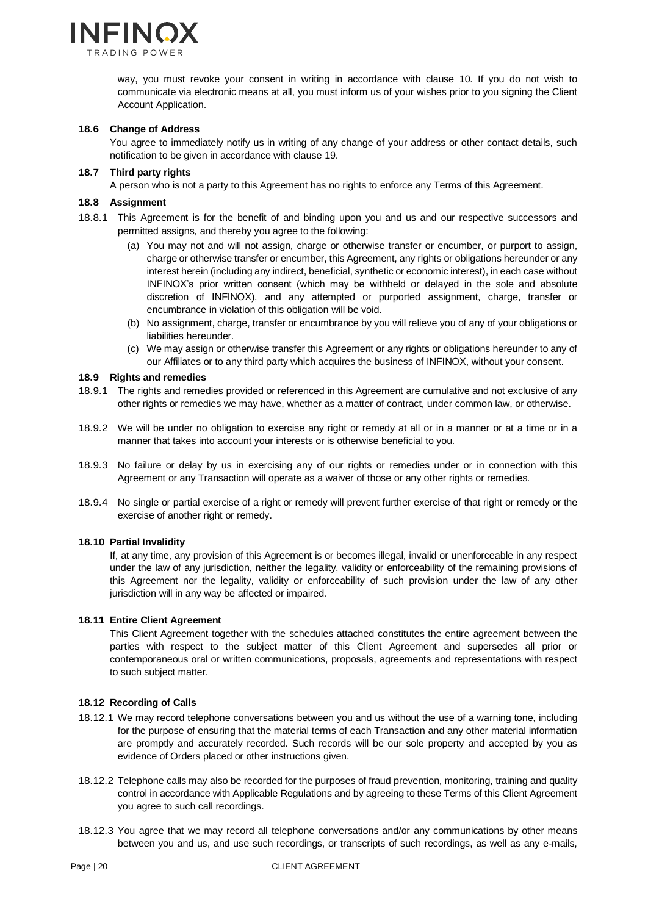

way, you must revoke your consent in writing in accordance with clause 10. If you do not wish to communicate via electronic means at all, you must inform us of your wishes prior to you signing the Client Account Application.

#### **18.6 Change of Address**

You agree to immediately notify us in writing of any change of your address or other contact details, such notification to be given in accordance with clause 19.

#### **18.7 Third party rights**

A person who is not a party to this Agreement has no rights to enforce any Terms of this Agreement.

#### **18.8 Assignment**

- 18.8.1 This Agreement is for the benefit of and binding upon you and us and our respective successors and permitted assigns, and thereby you agree to the following:
	- (a) You may not and will not assign, charge or otherwise transfer or encumber, or purport to assign, charge or otherwise transfer or encumber, this Agreement, any rights or obligations hereunder or any interest herein (including any indirect, beneficial, synthetic or economic interest), in each case without INFINOX's prior written consent (which may be withheld or delayed in the sole and absolute discretion of INFINOX), and any attempted or purported assignment, charge, transfer or encumbrance in violation of this obligation will be void.
	- (b) No assignment, charge, transfer or encumbrance by you will relieve you of any of your obligations or liabilities hereunder.
	- (c) We may assign or otherwise transfer this Agreement or any rights or obligations hereunder to any of our Affiliates or to any third party which acquires the business of INFINOX, without your consent.

#### **18.9 Rights and remedies**

- 18.9.1 The rights and remedies provided or referenced in this Agreement are cumulative and not exclusive of any other rights or remedies we may have, whether as a matter of contract, under common law, or otherwise.
- 18.9.2 We will be under no obligation to exercise any right or remedy at all or in a manner or at a time or in a manner that takes into account your interests or is otherwise beneficial to you.
- 18.9.3 No failure or delay by us in exercising any of our rights or remedies under or in connection with this Agreement or any Transaction will operate as a waiver of those or any other rights or remedies.
- 18.9.4 No single or partial exercise of a right or remedy will prevent further exercise of that right or remedy or the exercise of another right or remedy.

#### **18.10 Partial Invalidity**

If, at any time, any provision of this Agreement is or becomes illegal, invalid or unenforceable in any respect under the law of any jurisdiction, neither the legality, validity or enforceability of the remaining provisions of this Agreement nor the legality, validity or enforceability of such provision under the law of any other jurisdiction will in any way be affected or impaired.

#### **18.11 Entire Client Agreement**

This Client Agreement together with the schedules attached constitutes the entire agreement between the parties with respect to the subject matter of this Client Agreement and supersedes all prior or contemporaneous oral or written communications, proposals, agreements and representations with respect to such subject matter.

#### **18.12 Recording of Calls**

- 18.12.1 We may record telephone conversations between you and us without the use of a warning tone, including for the purpose of ensuring that the material terms of each Transaction and any other material information are promptly and accurately recorded. Such records will be our sole property and accepted by you as evidence of Orders placed or other instructions given.
- 18.12.2 Telephone calls may also be recorded for the purposes of fraud prevention, monitoring, training and quality control in accordance with Applicable Regulations and by agreeing to these Terms of this Client Agreement you agree to such call recordings.
- 18.12.3 You agree that we may record all telephone conversations and/or any communications by other means between you and us, and use such recordings, or transcripts of such recordings, as well as any e-mails,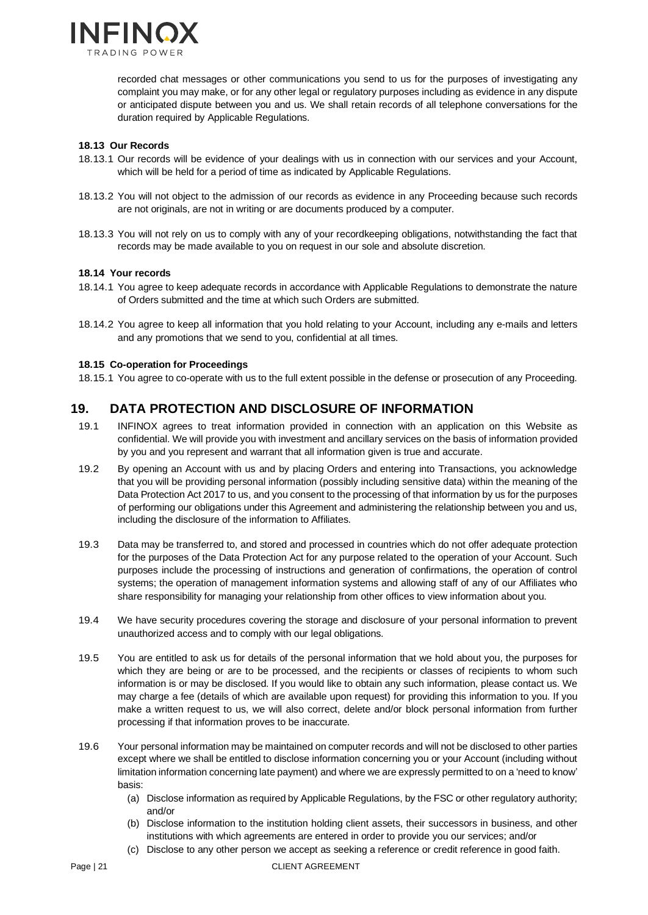

recorded chat messages or other communications you send to us for the purposes of investigating any complaint you may make, or for any other legal or regulatory purposes including as evidence in any dispute or anticipated dispute between you and us. We shall retain records of all telephone conversations for the duration required by Applicable Regulations.

#### **18.13 Our Records**

- 18.13.1 Our records will be evidence of your dealings with us in connection with our services and your Account, which will be held for a period of time as indicated by Applicable Regulations.
- 18.13.2 You will not object to the admission of our records as evidence in any Proceeding because such records are not originals, are not in writing or are documents produced by a computer.
- 18.13.3 You will not rely on us to comply with any of your recordkeeping obligations, notwithstanding the fact that records may be made available to you on request in our sole and absolute discretion.

#### **18.14 Your records**

- 18.14.1 You agree to keep adequate records in accordance with Applicable Regulations to demonstrate the nature of Orders submitted and the time at which such Orders are submitted.
- 18.14.2 You agree to keep all information that you hold relating to your Account, including any e-mails and letters and any promotions that we send to you, confidential at all times.

#### **18.15 Co-operation for Proceedings**

18.15.1 You agree to co-operate with us to the full extent possible in the defense or prosecution of any Proceeding.

#### <span id="page-21-0"></span>**19. DATA PROTECTION AND DISCLOSURE OF INFORMATION**

- 19.1 INFINOX agrees to treat information provided in connection with an application on this Website as confidential. We will provide you with investment and ancillary services on the basis of information provided by you and you represent and warrant that all information given is true and accurate.
- 19.2 By opening an Account with us and by placing Orders and entering into Transactions, you acknowledge that you will be providing personal information (possibly including sensitive data) within the meaning of the Data Protection Act 2017 to us, and you consent to the processing of that information by us for the purposes of performing our obligations under this Agreement and administering the relationship between you and us, including the disclosure of the information to Affiliates.
- 19.3 Data may be transferred to, and stored and processed in countries which do not offer adequate protection for the purposes of the Data Protection Act for any purpose related to the operation of your Account. Such purposes include the processing of instructions and generation of confirmations, the operation of control systems; the operation of management information systems and allowing staff of any of our Affiliates who share responsibility for managing your relationship from other offices to view information about you.
- 19.4 We have security procedures covering the storage and disclosure of your personal information to prevent unauthorized access and to comply with our legal obligations.
- 19.5 You are entitled to ask us for details of the personal information that we hold about you, the purposes for which they are being or are to be processed, and the recipients or classes of recipients to whom such information is or may be disclosed. If you would like to obtain any such information, please contact us. We may charge a fee (details of which are available upon request) for providing this information to you. If you make a written request to us, we will also correct, delete and/or block personal information from further processing if that information proves to be inaccurate.
- 19.6 Your personal information may be maintained on computer records and will not be disclosed to other parties except where we shall be entitled to disclose information concerning you or your Account (including without limitation information concerning late payment) and where we are expressly permitted to on a 'need to know' basis:
	- (a) Disclose information as required by Applicable Regulations, by the FSC or other regulatory authority; and/or
	- (b) Disclose information to the institution holding client assets, their successors in business, and other institutions with which agreements are entered in order to provide you our services; and/or
	- (c) Disclose to any other person we accept as seeking a reference or credit reference in good faith.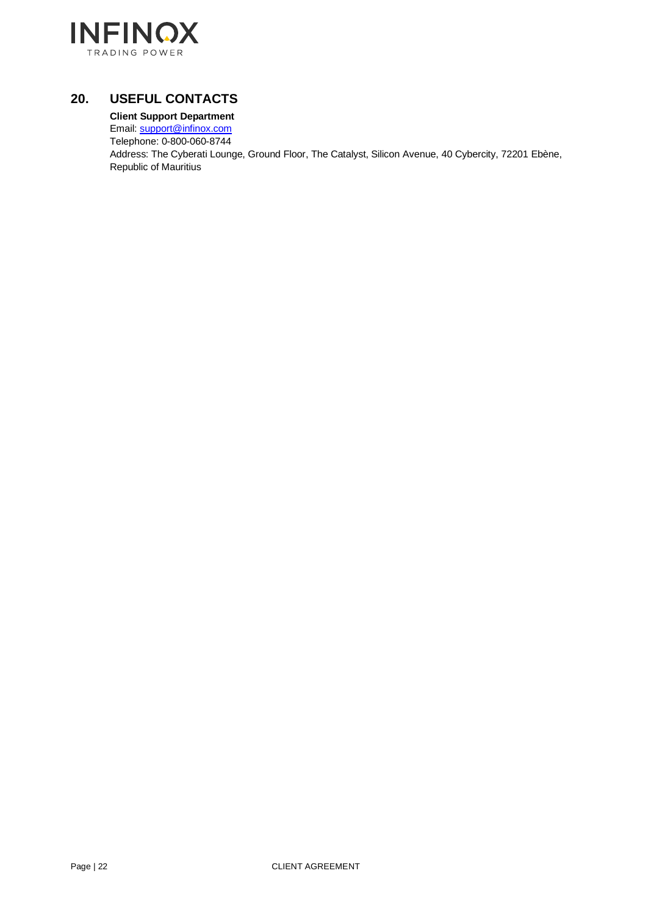

# <span id="page-22-0"></span>**20. USEFUL CONTACTS**

### **Client Support Department**

Email: [support@infinox.com](mailto:support@infinox.com)

Telephone[: 0-800-060-8744](tel:0-800-060-8744)

Address: The Cyberati Lounge, Ground Floor, The Catalyst, Silicon Avenue, 40 Cybercity, 72201 Ebène, Republic of Mauritius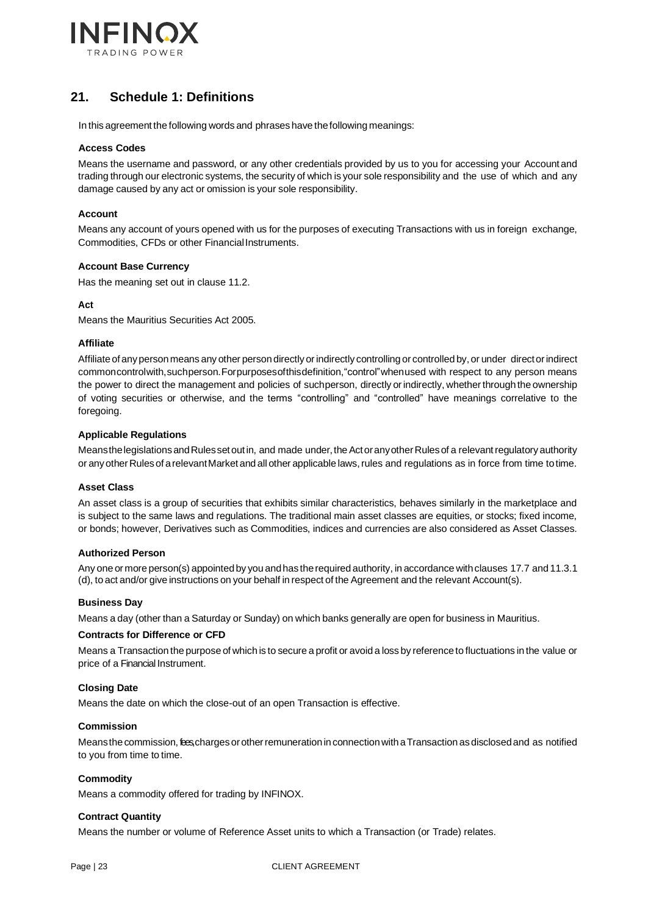

# <span id="page-23-0"></span>**21. Schedule 1: Definitions**

In this agreement the following words and phrases have thefollowing meanings:

#### **Access Codes**

Means the username and password, or any other credentials provided by us to you for accessing your Account and trading through our electronic systems, the security of which is your sole responsibility and the use of which and any damage caused by any act or omission is your sole responsibility.

#### **Account**

Means any account of yours opened with us for the purposes of executing Transactions with us in foreign exchange, Commodities, CFDs or other Financial Instruments.

#### **Account Base Currency**

Has the meaning set out in clause 11.2.

#### **Act**

Means the Mauritius Securities Act 2005.

#### **Affiliate**

Affiliate of any person means any other person directly or indirectly controlling or controlled by, or under direct or indirect commoncontrolwith,suchperson.Forpurposesofthisdefinition,"control"whenused with respect to any person means the power to direct the management and policies of suchperson, directly or indirectly, whether throughthe ownership of voting securities or otherwise, and the terms "controlling" and "controlled" have meanings correlative to the foregoing.

#### **Applicable Regulations**

Meansthe legislations and Rules set out in, and made under, the Actorany other Rules of a relevant regulatory authority or any other Rules of a relevant Market and all other applicable laws, rules and regulations as in force from time to time.

#### **Asset Class**

An asset class is a group of securities that exhibits similar characteristics, behaves similarly in the marketplace and is subject to the same laws and regulations. The traditional main asset classes are equities, or stocks; fixed income, or bonds; however, Derivatives such as Commodities, indices and currencies are also considered as Asset Classes.

#### **Authorized Person**

Any one or more person(s) appointed by you and has the required authority, in accordance with clauses 17.7 and 11.3.1 (d), to act and/or give instructions on your behalf in respect of the Agreement and the relevant Account(s).

#### **Business Day**

Means a day (other than a Saturday or Sunday) on which banks generally are open for business in Mauritius.

#### **Contracts for Difference or CFD**

Means a Transaction the purpose of which is to secure a profit or avoid a loss by referenceto fluctuations in the value or price of a Financial Instrument.

#### **Closing Date**

Means the date on which the close-out of an open Transaction is effective.

#### **Commission**

Means the commission, fees, charges or other remuneration in connection with a Transaction as disclosed and as notified to you from time to time.

#### **Commodity**

Means a commodity offered for trading by INFINOX.

#### **Contract Quantity**

Means the number or volume of Reference Asset units to which a Transaction (or Trade) relates.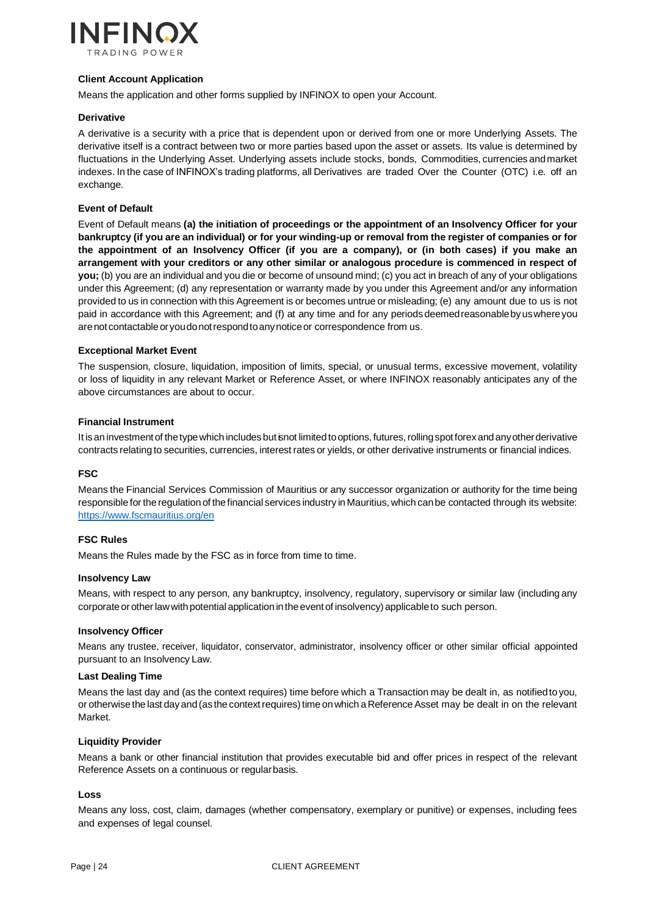

#### **Client Account Application**

Means the application and other forms supplied by INFINOX to open your Account.

#### **Derivative**

A derivative is a security with a price that is dependent upon or derived from one or more Underlying Assets. The derivative itself is a contract between two or more parties based upon the asset or assets. Its value is determined by fluctuations in the Underlying Asset. Underlying assets include stocks, bonds, Commodities, currencies andmarket indexes. In the case of INFINOX's trading platforms, all Derivatives are traded Over the Counter (OTC) i.e. off an exchange.

#### **Event of Default**

Event of Default means **(a) the initiation of proceedings or the appointment of an Insolvency Officer for your bankruptcy (if you are an individual) or for your winding-up or removal from the register of companies or for the appointment of an Insolvency Officer (if you are a company), or (in both cases) if you make an arrangement with your creditors or any other similar or analogous procedure is commenced in respect of you;** (b) you are an individual and you die or become of unsound mind; (c) you act in breach of any of your obligations under this Agreement; (d) any representation or warranty made by you under this Agreement and/or any information provided to us in connection with this Agreement is or becomes untrue or misleading; (e) any amount due to us is not paid in accordance with this Agreement; and (f) at any time and for any periods deemed reasonable by us where you are not contactable or you do not respond to any notice or correspondence from us.

#### **Exceptional Market Event**

The suspension, closure, liquidation, imposition of limits, special, or unusual terms, excessive movement, volatility or loss of liquidity in any relevant Market or Reference Asset, or where INFINOX reasonably anticipates any of the above circumstances are about to occur.

#### **Financial Instrument**

It is an investment of the type which includes but is not limited to options, futures, rolling spot forex and any other derivative contracts relating to securities, currencies, interest rates or yields, or other derivative instruments or financial indices.

#### **FSC**

Means the Financial Services Commission of Mauritius or any successor organization or authority for the time being responsible for theregulation of thefinancial services industry in Mauritius, which canbe contacted through its website: https://www.fscmauritius.org/en

#### **FSC Rules**

Means the Rules made by the FSC as in force from time to time.

#### **Insolvency Law**

Means, with respect to any person, any bankruptcy, insolvency, regulatory, supervisory or similar law (including any corporate or other law with potential application in the event of insolvency) applicable to such person.

#### **Insolvency Officer**

Means any trustee, receiver, liquidator, conservator, administrator, insolvency officer or other similar official appointed pursuant to an Insolvency Law.

#### **Last Dealing Time**

Means the last day and (as the context requires) time before which a Transaction may be dealt in, as notifiedtoyou, or otherwise the last day and (as the context requires) time on which a Reference Asset may be dealt in on the relevant Market.

#### **Liquidity Provider**

Means a bank or other financial institution that provides executable bid and offer prices in respect of the relevant Reference Assets on a continuous or regularbasis.

#### **Loss**

Means any loss, cost, claim, damages (whether compensatory, exemplary or punitive) or expenses, including fees and expenses of legal counsel.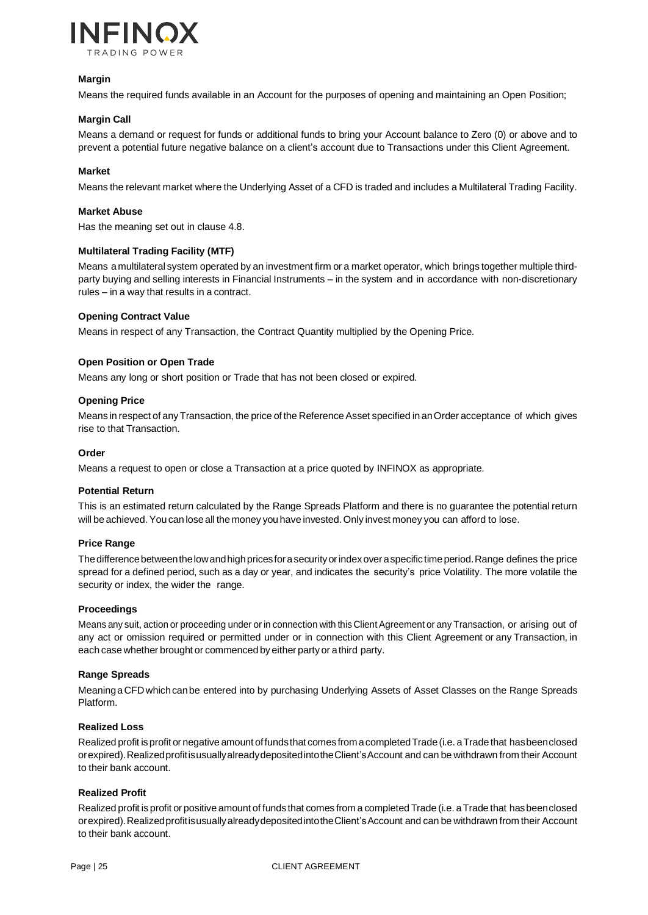

#### **Margin**

Means the required funds available in an Account for the purposes of opening and maintaining an Open Position;

#### **Margin Call**

Means a demand or request for funds or additional funds to bring your Account balance to Zero (0) or above and to prevent a potential future negative balance on a client's account due to Transactions under this Client Agreement.

#### **Market**

Means the relevant market where the Underlying Asset of a CFD is traded and includes a Multilateral Trading Facility.

#### **Market Abuse**

Has the meaning set out in clause 4.8.

#### **Multilateral Trading Facility (MTF)**

Means amultilateral system operated by an investment firm or a market operator, which brings together multiple thirdparty buying and selling interests in Financial Instruments – in the system and in accordance with non-discretionary rules – in a way that results in a contract.

#### **Opening Contract Value**

Means in respect of any Transaction, the Contract Quantity multiplied by the Opening Price.

#### **Open Position or Open Trade**

Means any long or short position or Trade that has not been closed or expired.

#### **Opening Price**

Means in respect of any Transaction, the price of the Reference Asset specified in an Order acceptance of which gives rise to that Transaction.

#### **Order**

Means a request to open or close a Transaction at a price quoted by INFINOX as appropriate.

#### **Potential Return**

This is an estimated return calculated by the Range Spreads Platform and there is no guarantee the potential return will be achieved. You can lose all the money you have invested. Only invest money you can afford to lose.

#### **Price Range**

The difference between the low and high prices for a security or index over a specific time period. Range defines the price spread for a defined period, such as a day or year, and indicates the security's price Volatility. The more volatile the security or index, the wider the range.

#### **Proceedings**

Means any suit, action or proceeding under or in connection with this Client Agreement or any Transaction, or arising out of any act or omission required or permitted under or in connection with this Client Agreement or any Transaction, in each case whether brought or commenced by either party or athird party.

#### **Range Spreads**

Meaning a CFD which can be entered into by purchasing Underlying Assets of Asset Classes on the Range Spreads Platform.

#### **Realized Loss**

Realized profit is profit or negative amount of funds that comes from a completed Trade (i.e. a Trade that hasbeenclosed orexpired).RealizedprofitisusuallyalreadydepositedintotheClient'sAccount and can be withdrawn from their Account to their bank account.

#### **Realized Profit**

Realized profit is profit or positive amount of funds that comes from a completed Trade (i.e. aTrade that hasbeenclosed orexpired).RealizedprofitisusuallyalreadydepositedintotheClient'sAccount and can be withdrawn from their Account to their bank account.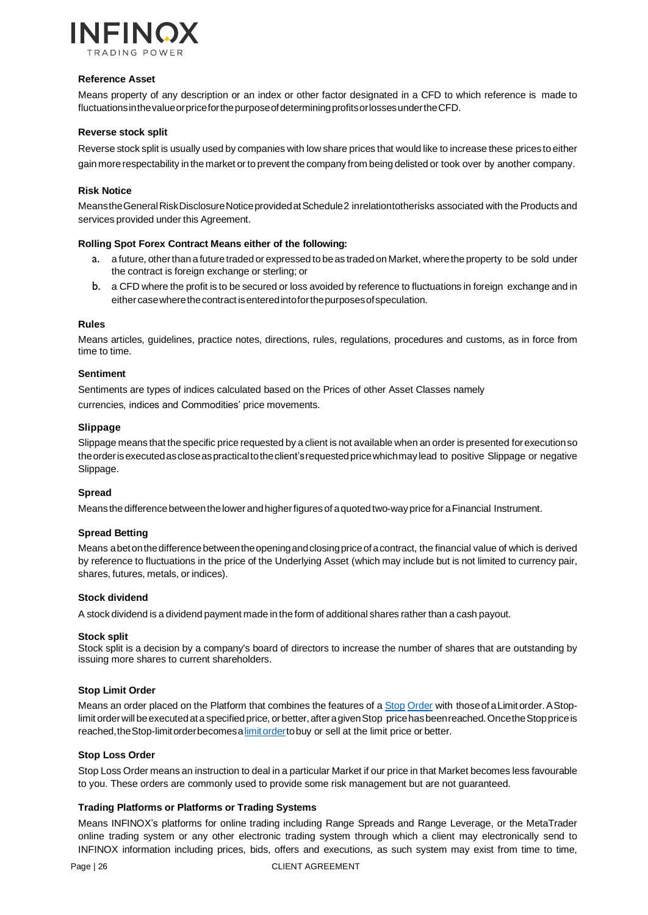

#### **Reference Asset**

Means property of any description or an index or other factor designated in a CFD to which reference is made to fluctuationsinthevalueorpriceforthepurposeofdeterminingprofitsorlossesundertheCFD.

#### **Reverse stock split**

Reverse stock split is usually used by companies with low share prices that would like to increase these prices to either gain morerespectability in the market or to prevent the company from being delisted or took over by another company.

#### **Risk Notice**

MeanstheGeneralRiskDisclosureNoticeprovidedatSchedule2 inrelationtotherisks associated with the Products and services provided under this Agreement.

#### **Rolling Spot Forex Contract Means either of the following:**

- a. a future, other than a future traded or expressed to be as traded on Market, where the property to be sold under the contract is foreign exchange or sterling; or
- b. a CFD where the profit is to be secured or loss avoided by reference to fluctuations in foreign exchange and in either casewherethecontract isenteredintoforthepurposesofspeculation.

#### **Rules**

Means articles, guidelines, practice notes, directions, rules, regulations, procedures and customs, as in force from time to time.

#### **Sentiment**

Sentiments are types of indices calculated based on the Prices of other Asset Classes namely currencies, indices and Commodities' price movements.

#### **Slippage**

Slippage means that the specific price requested by a client is not available when an order is presented forexecutionso theorderisexecutedascloseaspracticaltotheclient'srequestedpricewhichmay lead to positive Slippage or negative Slippage.

#### **Spread**

Means the difference between the lower and higher figures of a quoted two-way price for a Financial Instrument.

#### **Spread Betting**

Means abet on the difference between the opening and closing price of a contract, the financial value of which is derived by reference to fluctuations in the price of the Underlying Asset (which may include but is not limited to currency pair, shares, futures, metals, or indices).

#### **Stock dividend**

A stock dividend is a dividend payment made in the form of additional shares rather than a cash payout.

#### **Stock split**

Stock split is a decision by a company's board of directors to increase the number of shares that are outstanding by issuing more shares to current shareholders.

#### **Stop Limit Order**

Means an order placed on the Platform that combines the features of a [Stop](http://www.investopedia.com/terms/s/stoporder.asp) [Order](http://www.investopedia.com/terms/s/stoporder.asp) with those of a Limit order. A Stoplimit order will be executed at a specified price, or better, after a given Stop price has been reached. Once the Stop price is reached, the Stop-limit order becomes a limit order to buy or sell at the limit price or better.

#### **Stop Loss Order**

Stop Loss Order means an instruction to deal in a particular Market if our price in that Market becomes less favourable to you. These orders are commonly used to provide some risk management but are not guaranteed.

#### **Trading Platforms or Platforms or Trading Systems**

Means INFINOX's platforms for online trading including Range Spreads and Range Leverage, or the MetaTrader online trading system or any other electronic trading system through which a client may electronically send to INFINOX information including prices, bids, offers and executions, as such system may exist from time to time,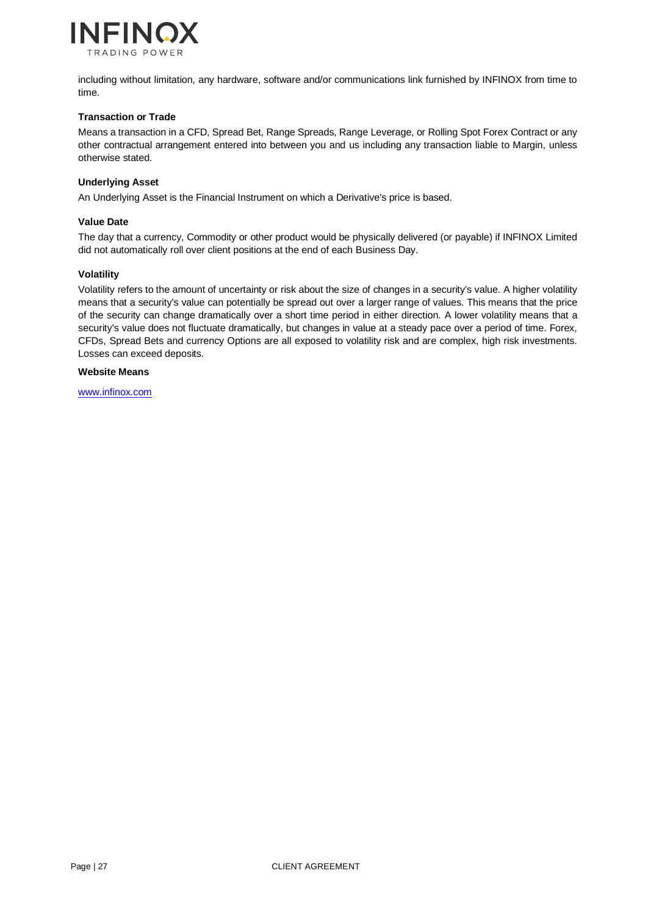

including without limitation, any hardware, software and/or communications link furnished by INFINOX from time to time.

#### **Transaction or Trade**

Means a transaction in a CFD, Spread Bet, Range Spreads, Range Leverage, or Rolling Spot Forex Contract or any other contractual arrangement entered into between you and us including any transaction liable to Margin, unless otherwise stated.

#### **Underlying Asset**

An Underlying Asset is the Financial Instrument on which a Derivative's price is based.

#### **Value Date**

The day that a currency, Commodity or other product would be physically delivered (or payable) if INFINOX Limited did not automatically roll over client positions at the end of each Business Day.

#### **Volatility**

Volatility refers to the amount of uncertainty or risk about the size of changes in a security's value. A higher volatility means that a security's value can potentially be spread out over a larger range of values. This means that the price of the security can change dramatically over a short time period in either direction. A lower volatility means that a security's value does not fluctuate dramatically, but changes in value at a steady pace over a period of time. Forex, CFDs, Spread Bets and currency Options are all exposed to volatility risk and are complex, high risk investments. Losses can exceed deposits.

**Website Means**

[www.infinox.com](http://www.infinox.com/)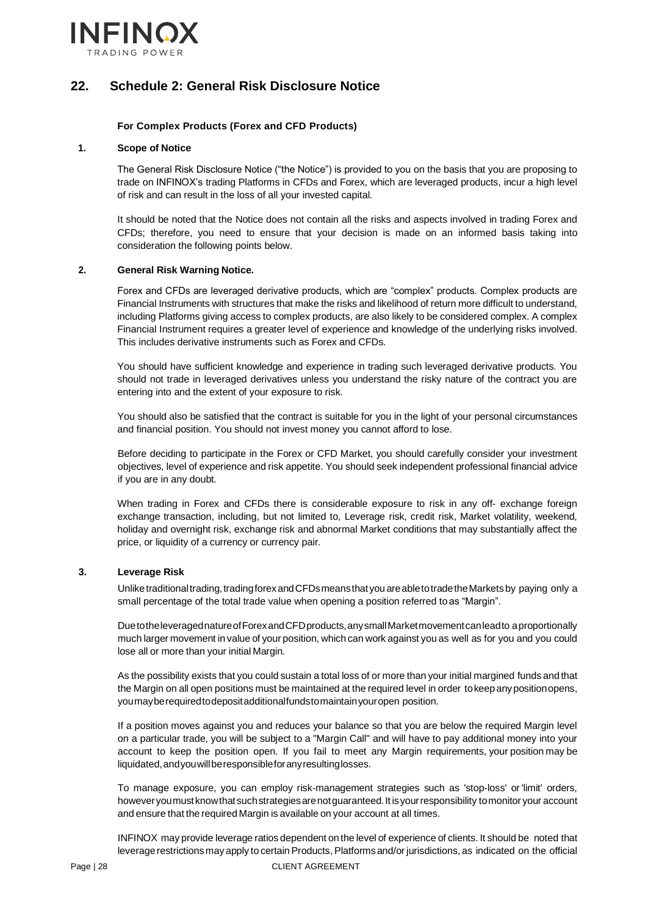

# <span id="page-28-0"></span>**22. Schedule 2: General Risk Disclosure Notice**

#### **For Complex Products (Forex and CFD Products)**

#### **1. Scope of Notice**

The General Risk Disclosure Notice ("the Notice") is provided to you on the basis that you are proposing to trade on INFINOX's trading Platforms in CFDs and Forex, which are leveraged products, incur a high level of risk and can result in the loss of all your invested capital.

It should be noted that the Notice does not contain all the risks and aspects involved in trading Forex and CFDs; therefore, you need to ensure that your decision is made on an informed basis taking into consideration the following points below.

#### **2. General Risk Warning Notice.**

Forex and CFDs are leveraged derivative products, which are "complex" products. Complex products are Financial Instruments with structures that make the risks and likelihood of return more difficult to understand, including Platforms giving access to complex products, are also likely to be considered complex. A complex Financial Instrument requires a greater level of experience and knowledge of the underlying risks involved. This includes derivative instruments such as Forex and CFDs.

You should have sufficient knowledge and experience in trading such leveraged derivative products. You should not trade in leveraged derivatives unless you understand the risky nature of the contract you are entering into and the extent of your exposure to risk.

You should also be satisfied that the contract is suitable for you in the light of your personal circumstances and financial position. You should not invest money you cannot afford to lose.

Before deciding to participate in the Forex or CFD Market, you should carefully consider your investment objectives, level of experience and risk appetite. You should seek independent professional financial advice if you are in any doubt.

When trading in Forex and CFDs there is considerable exposure to risk in any off- exchange foreign exchange transaction, including, but not limited to, Leverage risk, credit risk, Market volatility, weekend, holiday and overnight risk, exchange risk and abnormal Market conditions that may substantially affect the price, or liquidity of a currency or currency pair.

#### **3. Leverage Risk**

Unlike traditional trading, trading forex and CFDs means that you are able to trade the Markets by paying only a small percentage of the total trade value when opening a position referred toas "Margin".

DuetotheleveragednatureofForexandCFDproducts,anysmallMarketmovementcanleadto aproportionally much larger movement in value of your position, which can work against you as well as for you and you could lose all or more than your initial Margin.

As the possibility exists that you could sustain a total loss of or more than your initial margined funds and that the Margin on all open positions must be maintained at the required level in order tokeepanypositionopens, youmayberequiredtodepositadditionalfundstomaintainyouropen position.

If a position moves against you and reduces your balance so that you are below the required Margin level on a particular trade, you will be subject to a "Margin Call" and will have to pay additional money into your account to keep the position open. If you fail to meet any Margin requirements, your position may be liquidated,andyouwillberesponsibleforanyresultinglosses.

To manage exposure, you can employ risk-management strategies such as 'stop-loss' or 'limit' orders, however you must know that such strategies are not guaranteed. It is your responsibility to monitor your account and ensure that the required Margin is available on your account at all times.

INFINOX may provide leverage ratios dependent on the level of experience of clients. It should be noted that leverage restrictions may apply to certain Products, Platforms and/or jurisdictions, as indicated on the official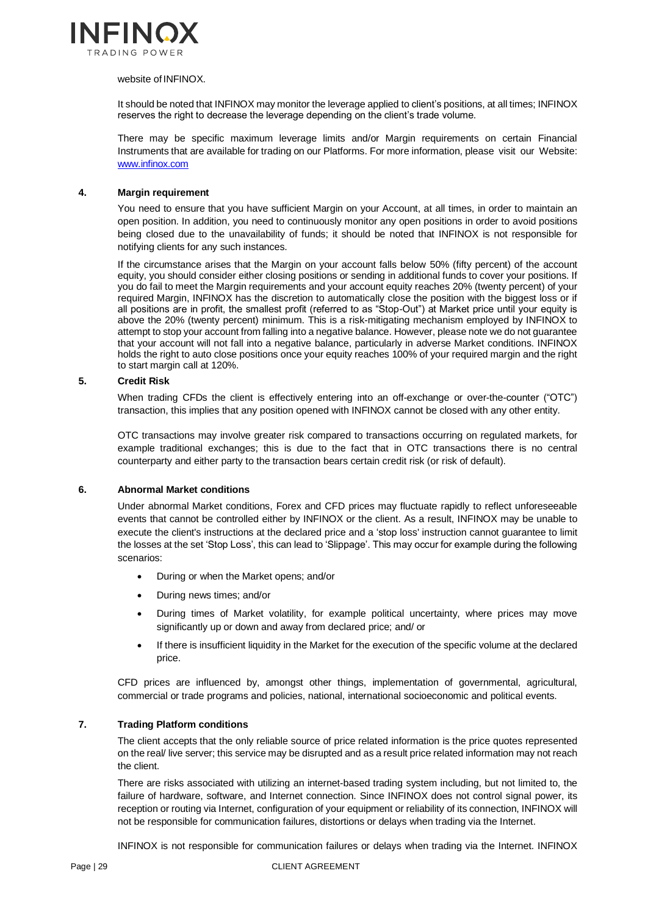

#### website of INFINOX.

It should be noted that INFINOX may monitor the leverage applied to client's positions, at all times; INFINOX reserves the right to decrease the leverage depending on the client's trade volume.

There may be specific maximum leverage limits and/or Margin requirements on certain Financial Instruments that are available for trading on our Platforms. For more information, please visit our Website: [www.infinox.com](http://www.infinox.com/)

#### **4. Margin requirement**

You need to ensure that you have sufficient Margin on your Account, at all times, in order to maintain an open position. In addition, you need to continuously monitor any open positions in order to avoid positions being closed due to the unavailability of funds; it should be noted that INFINOX is not responsible for notifying clients for any such instances.

If the circumstance arises that the Margin on your account falls below 50% (fifty percent) of the account equity, you should consider either closing positions or sending in additional funds to cover your positions. If you do fail to meet the Margin requirements and your account equity reaches 20% (twenty percent) of your required Margin, INFINOX has the discretion to automatically close the position with the biggest loss or if all positions are in profit, the smallest profit (referred to as "Stop-Out") at Market price until your equity is above the 20% (twenty percent) minimum. This is a risk-mitigating mechanism employed by INFINOX to attempt to stop your account from falling into a negative balance. However, please note we do not guarantee that your account will not fall into a negative balance, particularly in adverse Market conditions. INFINOX holds the right to auto close positions once your equity reaches 100% of your required margin and the right to start margin call at 120%.

#### **5. Credit Risk**

When trading CFDs the client is effectively entering into an off-exchange or over-the-counter ("OTC") transaction, this implies that any position opened with INFINOX cannot be closed with any other entity.

OTC transactions may involve greater risk compared to transactions occurring on regulated markets, for example traditional exchanges; this is due to the fact that in OTC transactions there is no central counterparty and either party to the transaction bears certain credit risk (or risk of default).

#### **6. Abnormal Market conditions**

Under abnormal Market conditions, Forex and CFD prices may fluctuate rapidly to reflect unforeseeable events that cannot be controlled either by INFINOX or the client. As a result, INFINOX may be unable to execute the client's instructions at the declared price and a 'stop loss' instruction cannot guarantee to limit the losses at the set 'Stop Loss', this can lead to 'Slippage'. This may occur for example during the following scenarios:

- During or when the Market opens; and/or
- During news times; and/or
- During times of Market volatility, for example political uncertainty, where prices may move significantly up or down and away from declared price; and/ or
- If there is insufficient liquidity in the Market for the execution of the specific volume at the declared price.

CFD prices are influenced by, amongst other things, implementation of governmental, agricultural, commercial or trade programs and policies, national, international socioeconomic and political events.

#### **7. Trading Platform conditions**

The client accepts that the only reliable source of price related information is the price quotes represented on the real/ live server; this service may be disrupted and as a result price related information may not reach the client.

There are risks associated with utilizing an internet-based trading system including, but not limited to, the failure of hardware, software, and Internet connection. Since INFINOX does not control signal power, its reception or routing via Internet, configuration of your equipment or reliability of its connection, INFINOX will not be responsible for communication failures, distortions or delays when trading via the Internet.

INFINOX is not responsible for communication failures or delays when trading via the Internet. INFINOX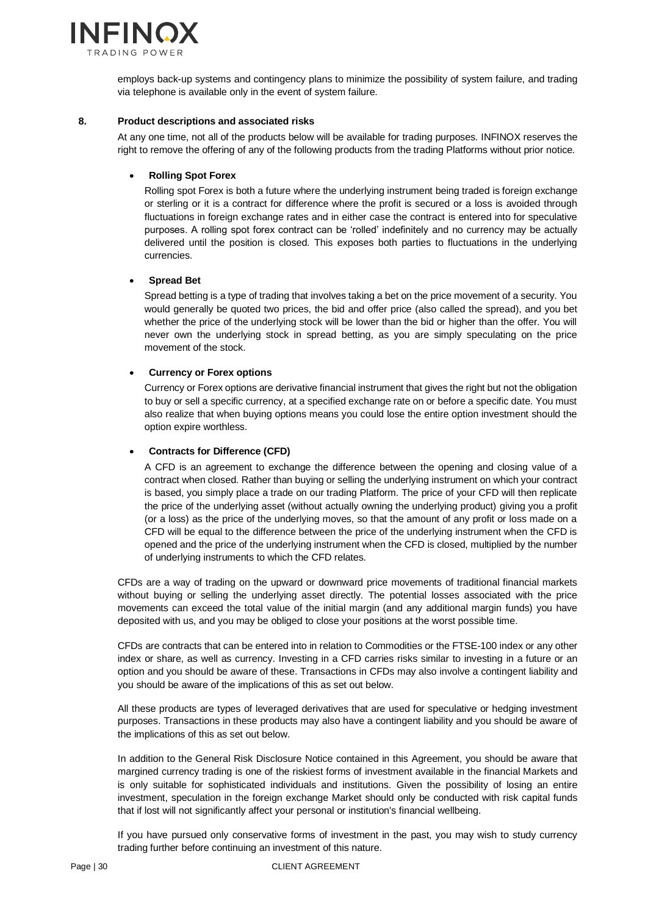

employs back-up systems and contingency plans to minimize the possibility of system failure, and trading via telephone is available only in the event of system failure.

#### **8. Product descriptions and associated risks**

At any one time, not all of the products below will be available for trading purposes. INFINOX reserves the right to remove the offering of any of the following products from the trading Platforms without prior notice.

#### • **Rolling Spot Forex**

Rolling spot Forex is both a future where the underlying instrument being traded is foreign exchange or sterling or it is a contract for difference where the profit is secured or a loss is avoided through fluctuations in foreign exchange rates and in either case the contract is entered into for speculative purposes. A rolling spot forex contract can be 'rolled' indefinitely and no currency may be actually delivered until the position is closed. This exposes both parties to fluctuations in the underlying currencies.

#### • **Spread Bet**

Spread betting is a type of trading that involves taking a bet on the price movement of a security. You would generally be quoted two prices, the bid and offer price (also called the spread), and you bet whether the price of the underlying stock will be lower than the bid or higher than the offer. You will never own the underlying stock in spread betting, as you are simply speculating on the price movement of the stock.

#### • **Currency or Forex options**

Currency or Forex options are derivative financial instrument that gives the right but not the obligation to buy or sell a specific currency, at a specified exchange rate on or before a specific date. You must also realize that when buying options means you could lose the entire option investment should the option expire worthless.

#### • **Contracts for Difference (CFD)**

A CFD is an agreement to exchange the difference between the opening and closing value of a contract when closed. Rather than buying or selling the underlying instrument on which your contract is based, you simply place a trade on our trading Platform. The price of your CFD will then replicate the price of the underlying asset (without actually owning the underlying product) giving you a profit (or a loss) as the price of the underlying moves, so that the amount of any profit or loss made on a CFD will be equal to the difference between the price of the underlying instrument when the CFD is opened and the price of the underlying instrument when the CFD is closed, multiplied by the number of underlying instruments to which the CFD relates.

CFDs are a way of trading on the upward or downward price movements of traditional financial markets without buying or selling the underlying asset directly. The potential losses associated with the price movements can exceed the total value of the initial margin (and any additional margin funds) you have deposited with us, and you may be obliged to close your positions at the worst possible time.

CFDs are contracts that can be entered into in relation to Commodities or the FTSE-100 index or any other index or share, as well as currency. Investing in a CFD carries risks similar to investing in a future or an option and you should be aware of these. Transactions in CFDs may also involve a contingent liability and you should be aware of the implications of this as set out below.

All these products are types of leveraged derivatives that are used for speculative or hedging investment purposes. Transactions in these products may also have a contingent liability and you should be aware of the implications of this as set out below.

In addition to the General Risk Disclosure Notice contained in this Agreement, you should be aware that margined currency trading is one of the riskiest forms of investment available in the financial Markets and is only suitable for sophisticated individuals and institutions. Given the possibility of losing an entire investment, speculation in the foreign exchange Market should only be conducted with risk capital funds that if lost will not significantly affect your personal or institution's financial wellbeing.

If you have pursued only conservative forms of investment in the past, you may wish to study currency trading further before continuing an investment of this nature.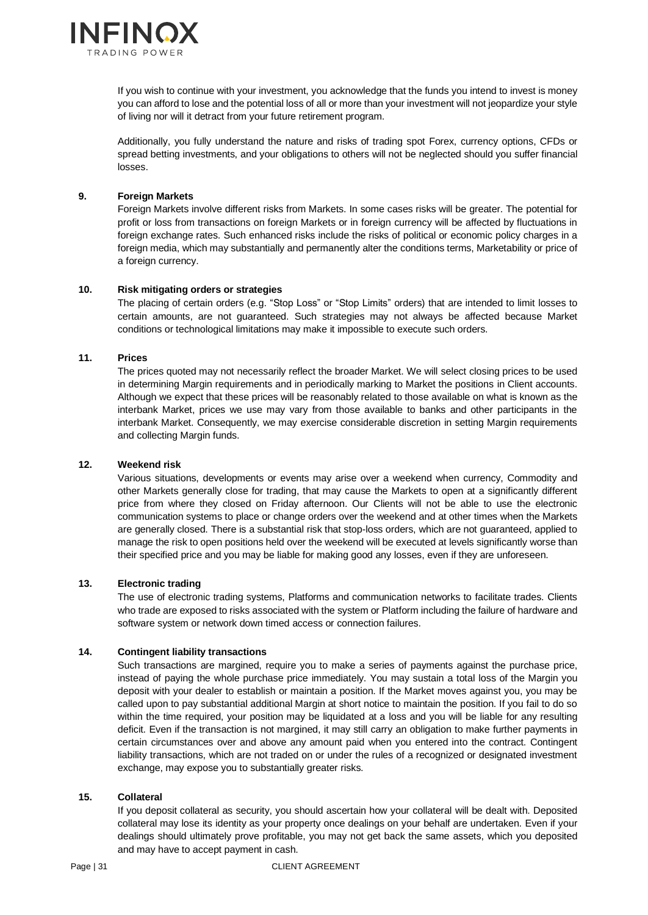

If you wish to continue with your investment, you acknowledge that the funds you intend to invest is money you can afford to lose and the potential loss of all or more than your investment will not jeopardize your style of living nor will it detract from your future retirement program.

Additionally, you fully understand the nature and risks of trading spot Forex, currency options, CFDs or spread betting investments, and your obligations to others will not be neglected should you suffer financial losses.

#### **9. Foreign Markets**

Foreign Markets involve different risks from Markets. In some cases risks will be greater. The potential for profit or loss from transactions on foreign Markets or in foreign currency will be affected by fluctuations in foreign exchange rates. Such enhanced risks include the risks of political or economic policy charges in a foreign media, which may substantially and permanently alter the conditions terms, Marketability or price of a foreign currency.

#### **10. Risk mitigating orders or strategies**

The placing of certain orders (e.g. "Stop Loss" or "Stop Limits" orders) that are intended to limit losses to certain amounts, are not guaranteed. Such strategies may not always be affected because Market conditions or technological limitations may make it impossible to execute such orders.

#### **11. Prices**

The prices quoted may not necessarily reflect the broader Market. We will select closing prices to be used in determining Margin requirements and in periodically marking to Market the positions in Client accounts. Although we expect that these prices will be reasonably related to those available on what is known as the interbank Market, prices we use may vary from those available to banks and other participants in the interbank Market. Consequently, we may exercise considerable discretion in setting Margin requirements and collecting Margin funds.

#### **12. Weekend risk**

Various situations, developments or events may arise over a weekend when currency, Commodity and other Markets generally close for trading, that may cause the Markets to open at a significantly different price from where they closed on Friday afternoon. Our Clients will not be able to use the electronic communication systems to place or change orders over the weekend and at other times when the Markets are generally closed. There is a substantial risk that stop-loss orders, which are not guaranteed, applied to manage the risk to open positions held over the weekend will be executed at levels significantly worse than their specified price and you may be liable for making good any losses, even if they are unforeseen.

#### **13. Electronic trading**

The use of electronic trading systems, Platforms and communication networks to facilitate trades. Clients who trade are exposed to risks associated with the system or Platform including the failure of hardware and software system or network down timed access or connection failures.

#### **14. Contingent liability transactions**

Such transactions are margined, require you to make a series of payments against the purchase price, instead of paying the whole purchase price immediately. You may sustain a total loss of the Margin you deposit with your dealer to establish or maintain a position. If the Market moves against you, you may be called upon to pay substantial additional Margin at short notice to maintain the position. If you fail to do so within the time required, your position may be liquidated at a loss and you will be liable for any resulting deficit. Even if the transaction is not margined, it may still carry an obligation to make further payments in certain circumstances over and above any amount paid when you entered into the contract. Contingent liability transactions, which are not traded on or under the rules of a recognized or designated investment exchange, may expose you to substantially greater risks.

#### **15. Collateral**

If you deposit collateral as security, you should ascertain how your collateral will be dealt with. Deposited collateral may lose its identity as your property once dealings on your behalf are undertaken. Even if your dealings should ultimately prove profitable, you may not get back the same assets, which you deposited and may have to accept payment in cash.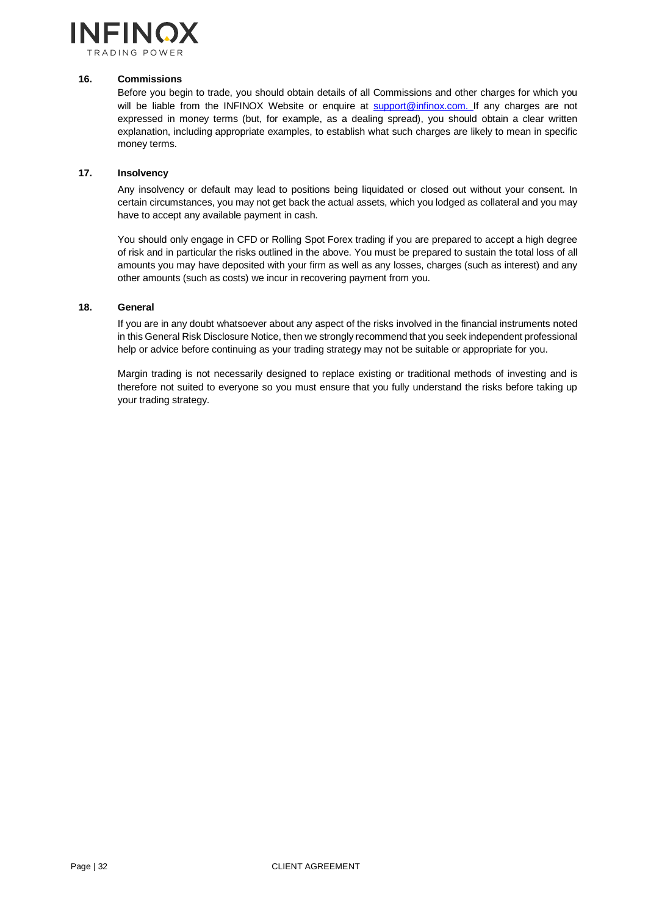

#### **16. Commissions**

Before you begin to trade, you should obtain details of all Commissions and other charges for which you will be liable from the INFINOX Website or enquire at [support@infinox.com. I](mailto:support@infinox.com.)f any charges are not expressed in money terms (but, for example, as a dealing spread), you should obtain a clear written explanation, including appropriate examples, to establish what such charges are likely to mean in specific money terms.

#### **17. Insolvency**

Any insolvency or default may lead to positions being liquidated or closed out without your consent. In certain circumstances, you may not get back the actual assets, which you lodged as collateral and you may have to accept any available payment in cash.

You should only engage in CFD or Rolling Spot Forex trading if you are prepared to accept a high degree of risk and in particular the risks outlined in the above. You must be prepared to sustain the total loss of all amounts you may have deposited with your firm as well as any losses, charges (such as interest) and any other amounts (such as costs) we incur in recovering payment from you.

#### **18. General**

If you are in any doubt whatsoever about any aspect of the risks involved in the financial instruments noted in this General Risk Disclosure Notice, then we strongly recommend that you seek independent professional help or advice before continuing as your trading strategy may not be suitable or appropriate for you.

Margin trading is not necessarily designed to replace existing or traditional methods of investing and is therefore not suited to everyone so you must ensure that you fully understand the risks before taking up your trading strategy.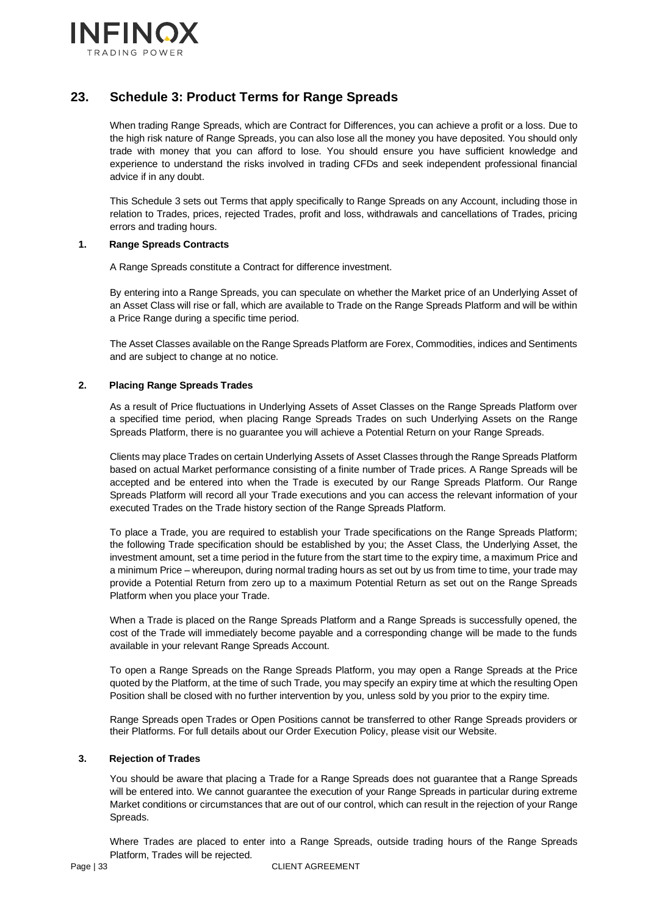

# <span id="page-33-0"></span>**23. Schedule 3: Product Terms for Range Spreads**

When trading Range Spreads, which are Contract for Differences, you can achieve a profit or a loss. Due to the high risk nature of Range Spreads, you can also lose all the money you have deposited. You should only trade with money that you can afford to lose. You should ensure you have sufficient knowledge and experience to understand the risks involved in trading CFDs and seek independent professional financial advice if in any doubt.

This Schedule 3 sets out Terms that apply specifically to Range Spreads on any Account, including those in relation to Trades, prices, rejected Trades, profit and loss, withdrawals and cancellations of Trades, pricing errors and trading hours.

#### **1. Range Spreads Contracts**

A Range Spreads constitute a Contract for difference investment.

By entering into a Range Spreads, you can speculate on whether the Market price of an Underlying Asset of an Asset Class will rise or fall, which are available to Trade on the Range Spreads Platform and will be within a Price Range during a specific time period.

The Asset Classes available on the Range Spreads Platform are Forex, Commodities, indices and Sentiments and are subject to change at no notice.

#### **2. Placing Range Spreads Trades**

As a result of Price fluctuations in Underlying Assets of Asset Classes on the Range Spreads Platform over a specified time period, when placing Range Spreads Trades on such Underlying Assets on the Range Spreads Platform, there is no guarantee you will achieve a Potential Return on your Range Spreads.

Clients may place Trades on certain Underlying Assets of Asset Classes through the Range Spreads Platform based on actual Market performance consisting of a finite number of Trade prices. A Range Spreads will be accepted and be entered into when the Trade is executed by our Range Spreads Platform. Our Range Spreads Platform will record all your Trade executions and you can access the relevant information of your executed Trades on the Trade history section of the Range Spreads Platform.

To place a Trade, you are required to establish your Trade specifications on the Range Spreads Platform; the following Trade specification should be established by you; the Asset Class, the Underlying Asset, the investment amount, set a time period in the future from the start time to the expiry time, a maximum Price and a minimum Price – whereupon, during normal trading hours as set out by us from time to time, your trade may provide a Potential Return from zero up to a maximum Potential Return as set out on the Range Spreads Platform when you place your Trade.

When a Trade is placed on the Range Spreads Platform and a Range Spreads is successfully opened, the cost of the Trade will immediately become payable and a corresponding change will be made to the funds available in your relevant Range Spreads Account.

To open a Range Spreads on the Range Spreads Platform, you may open a Range Spreads at the Price quoted by the Platform, at the time of such Trade, you may specify an expiry time at which the resulting Open Position shall be closed with no further intervention by you, unless sold by you prior to the expiry time.

Range Spreads open Trades or Open Positions cannot be transferred to other Range Spreads providers or their Platforms. For full details about our Order Execution Policy, please visit our Website.

#### **3. Rejection of Trades**

You should be aware that placing a Trade for a Range Spreads does not guarantee that a Range Spreads will be entered into. We cannot guarantee the execution of your Range Spreads in particular during extreme Market conditions or circumstances that are out of our control, which can result in the rejection of your Range Spreads.

Where Trades are placed to enter into a Range Spreads, outside trading hours of the Range Spreads Platform, Trades will be rejected.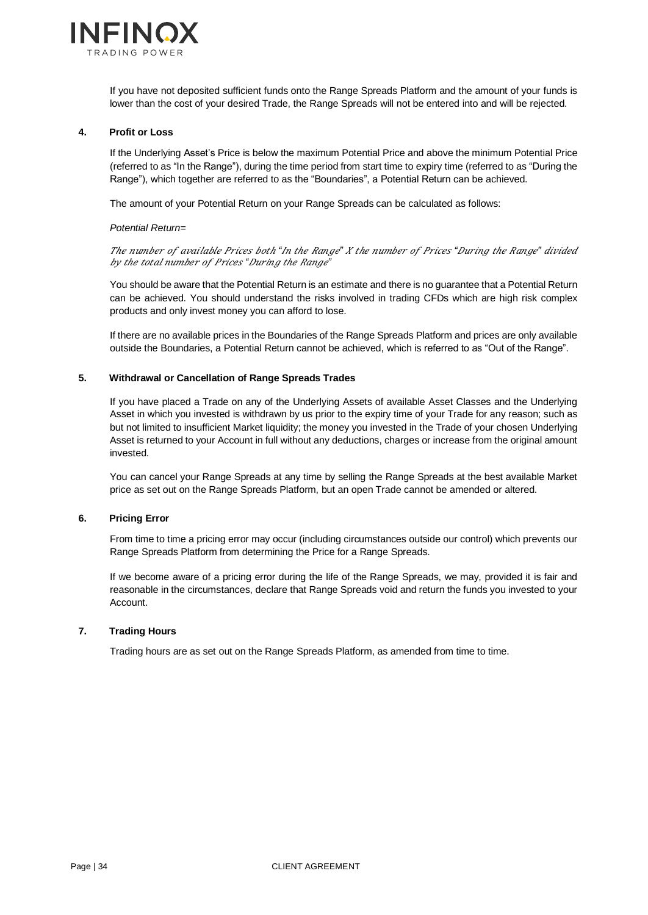

If you have not deposited sufficient funds onto the Range Spreads Platform and the amount of your funds is lower than the cost of your desired Trade, the Range Spreads will not be entered into and will be rejected.

#### **4. Profit or Loss**

If the Underlying Asset's Price is below the maximum Potential Price and above the minimum Potential Price (referred to as "In the Range"), during the time period from start time to expiry time (referred to as "During the Range"), which together are referred to as the "Boundaries", a Potential Return can be achieved.

The amount of your Potential Return on your Range Spreads can be calculated as follows:

#### *Potential Return=*

The number of available Prices both "In the Range" X the number of Prices "During the Range" divided by the total number of Prices "During the Range"

You should be aware that the Potential Return is an estimate and there is no guarantee that a Potential Return can be achieved. You should understand the risks involved in trading CFDs which are high risk complex products and only invest money you can afford to lose.

If there are no available prices in the Boundaries of the Range Spreads Platform and prices are only available outside the Boundaries, a Potential Return cannot be achieved, which is referred to as "Out of the Range".

#### **5. Withdrawal or Cancellation of Range Spreads Trades**

If you have placed a Trade on any of the Underlying Assets of available Asset Classes and the Underlying Asset in which you invested is withdrawn by us prior to the expiry time of your Trade for any reason; such as but not limited to insufficient Market liquidity; the money you invested in the Trade of your chosen Underlying Asset is returned to your Account in full without any deductions, charges or increase from the original amount invested.

You can cancel your Range Spreads at any time by selling the Range Spreads at the best available Market price as set out on the Range Spreads Platform, but an open Trade cannot be amended or altered.

#### **6. Pricing Error**

From time to time a pricing error may occur (including circumstances outside our control) which prevents our Range Spreads Platform from determining the Price for a Range Spreads.

If we become aware of a pricing error during the life of the Range Spreads, we may, provided it is fair and reasonable in the circumstances, declare that Range Spreads void and return the funds you invested to your Account.

#### **7. Trading Hours**

Trading hours are as set out on the Range Spreads Platform, as amended from time to time.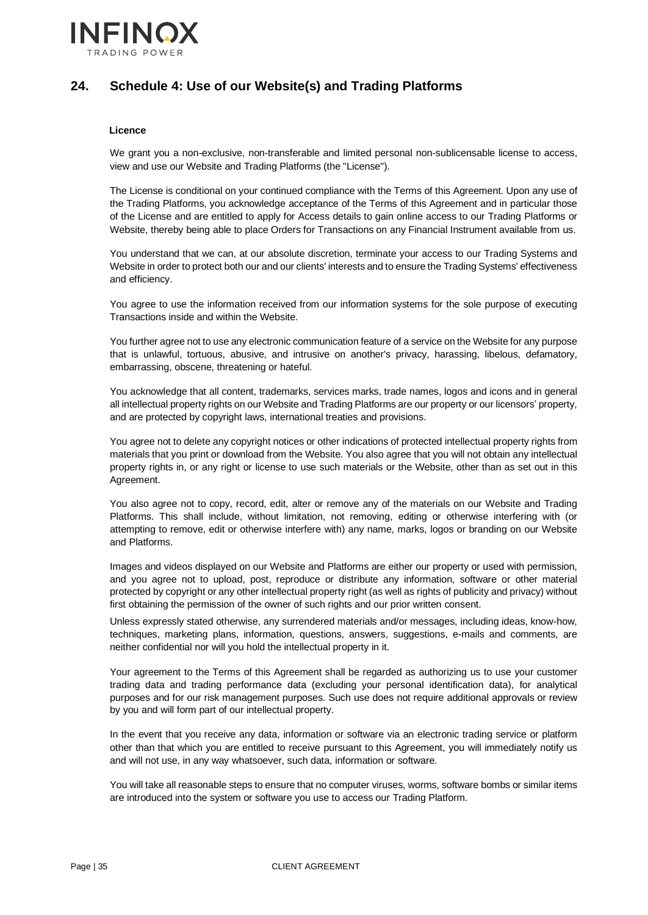

# <span id="page-35-0"></span>**24. Schedule 4: Use of our Website(s) and Trading Platforms**

#### **Licence**

We grant you a non-exclusive, non-transferable and limited personal non-sublicensable license to access, view and use our Website and Trading Platforms (the "License").

The License is conditional on your continued compliance with the Terms of this Agreement. Upon any use of the Trading Platforms, you acknowledge acceptance of the Terms of this Agreement and in particular those of the License and are entitled to apply for Access details to gain online access to our Trading Platforms or Website, thereby being able to place Orders for Transactions on any Financial Instrument available from us.

You understand that we can, at our absolute discretion, terminate your access to our Trading Systems and Website in order to protect both our and our clients' interests and to ensure the Trading Systems' effectiveness and efficiency.

You agree to use the information received from our information systems for the sole purpose of executing Transactions inside and within the Website.

You further agree not to use any electronic communication feature of a service on the Website for any purpose that is unlawful, tortuous, abusive, and intrusive on another's privacy, harassing, libelous, defamatory, embarrassing, obscene, threatening or hateful.

You acknowledge that all content, trademarks, services marks, trade names, logos and icons and in general all intellectual property rights on our Website and Trading Platforms are our property or our licensors' property, and are protected by copyright laws, international treaties and provisions.

You agree not to delete any copyright notices or other indications of protected intellectual property rights from materials that you print or download from the Website. You also agree that you will not obtain any intellectual property rights in, or any right or license to use such materials or the Website, other than as set out in this Agreement.

You also agree not to copy, record, edit, alter or remove any of the materials on our Website and Trading Platforms. This shall include, without limitation, not removing, editing or otherwise interfering with (or attempting to remove, edit or otherwise interfere with) any name, marks, logos or branding on our Website and Platforms.

Images and videos displayed on our Website and Platforms are either our property or used with permission, and you agree not to upload, post, reproduce or distribute any information, software or other material protected by copyright or any other intellectual property right (as well as rights of publicity and privacy) without first obtaining the permission of the owner of such rights and our prior written consent.

Unless expressly stated otherwise, any surrendered materials and/or messages, including ideas, know-how, techniques, marketing plans, information, questions, answers, suggestions, e-mails and comments, are neither confidential nor will you hold the intellectual property in it.

Your agreement to the Terms of this Agreement shall be regarded as authorizing us to use your customer trading data and trading performance data (excluding your personal identification data), for analytical purposes and for our risk management purposes. Such use does not require additional approvals or review by you and will form part of our intellectual property.

In the event that you receive any data, information or software via an electronic trading service or platform other than that which you are entitled to receive pursuant to this Agreement, you will immediately notify us and will not use, in any way whatsoever, such data, information or software.

You will take all reasonable steps to ensure that no computer viruses, worms, software bombs or similar items are introduced into the system or software you use to access our Trading Platform.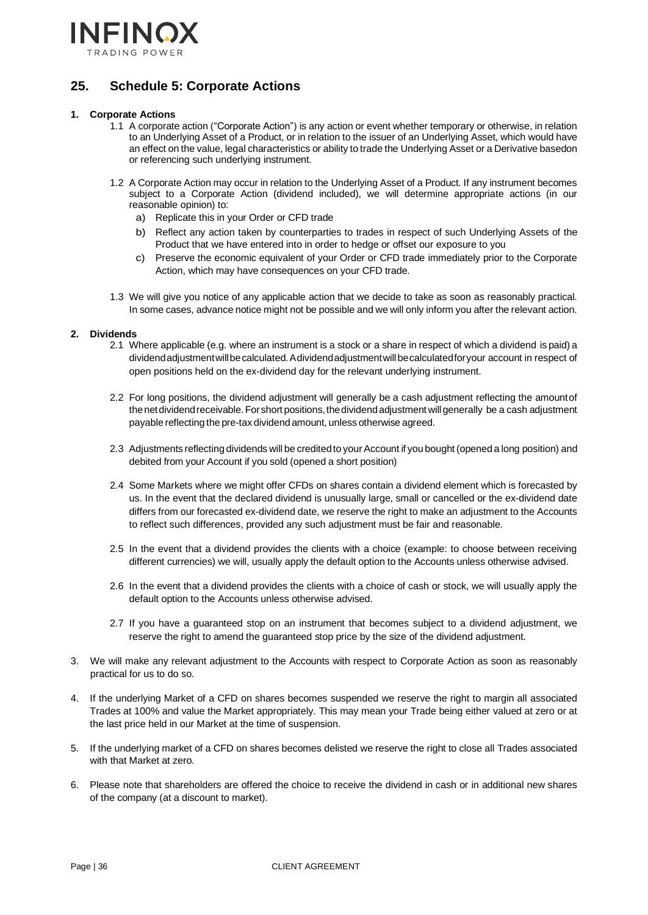

# <span id="page-36-0"></span>**25. Schedule 5: Corporate Actions**

#### **1. Corporate Actions**

- 1.1 A corporate action ("Corporate Action") is any action or event whether temporary or otherwise, in relation to an Underlying Asset of a Product, or in relation to the issuer of an Underlying Asset, which would have an effect on the value, legal characteristics or ability to trade the Underlying Asset or a Derivative basedon or referencing such underlying instrument.
- 1.2 A Corporate Action may occur in relation to the Underlying Asset of a Product. If any instrument becomes subject to a Corporate Action (dividend included), we will determine appropriate actions (in our reasonable opinion) to:
	- a) Replicate this in your Order or CFD trade
	- b) Reflect any action taken by counterparties to trades in respect of such Underlying Assets of the Product that we have entered into in order to hedge or offset our exposure to you
	- c) Preserve the economic equivalent of your Order or CFD trade immediately prior to the Corporate Action, which may have consequences on your CFD trade.
- 1.3 We will give you notice of any applicable action that we decide to take as soon as reasonably practical. In some cases, advance notice might not be possible and we will only inform you after the relevant action.

#### **2. Dividends**

- 2.1 Where applicable (e.g. where an instrument is a stock or a share in respect of which a dividend is paid) a dividendadjustmentwillbecalculated.Adividendadjustmentwillbecalculatedforyour account in respect of open positions held on the ex-dividend day for the relevant underlying instrument.
- 2.2 For long positions, the dividend adjustment will generally be a cash adjustment reflecting the amountof the net dividend receivable. For short positions, the dividend adjustment will generally be a cash adjustment payable reflecting the pre-tax dividend amount, unless otherwise agreed.
- 2.3 Adjustments reflecting dividends will be creditedto your Account if you bought (opened a long position) and debited from your Account if you sold (opened a short position)
- 2.4 Some Markets where we might offer CFDs on shares contain a dividend element which is forecasted by us. In the event that the declared dividend is unusually large, small or cancelled or the ex-dividend date differs from our forecasted ex-dividend date, we reserve the right to make an adjustment to the Accounts to reflect such differences, provided any such adjustment must be fair and reasonable.
- 2.5 In the event that a dividend provides the clients with a choice (example: to choose between receiving different currencies) we will, usually apply the default option to the Accounts unless otherwise advised.
- 2.6 In the event that a dividend provides the clients with a choice of cash or stock, we will usually apply the default option to the Accounts unless otherwise advised.
- 2.7 If you have a guaranteed stop on an instrument that becomes subject to a dividend adjustment, we reserve the right to amend the guaranteed stop price by the size of the dividend adjustment.
- 3. We will make any relevant adjustment to the Accounts with respect to Corporate Action as soon as reasonably practical for us to do so.
- 4. If the underlying Market of a CFD on shares becomes suspended we reserve the right to margin all associated Trades at 100% and value the Market appropriately. This may mean your Trade being either valued at zero or at the last price held in our Market at the time of suspension.
- 5. If the underlying market of a CFD on shares becomes delisted we reserve the right to close all Trades associated with that Market at zero.
- 6. Please note that shareholders are offered the choice to receive the dividend in cash or in additional new shares of the company (at a discount to market).